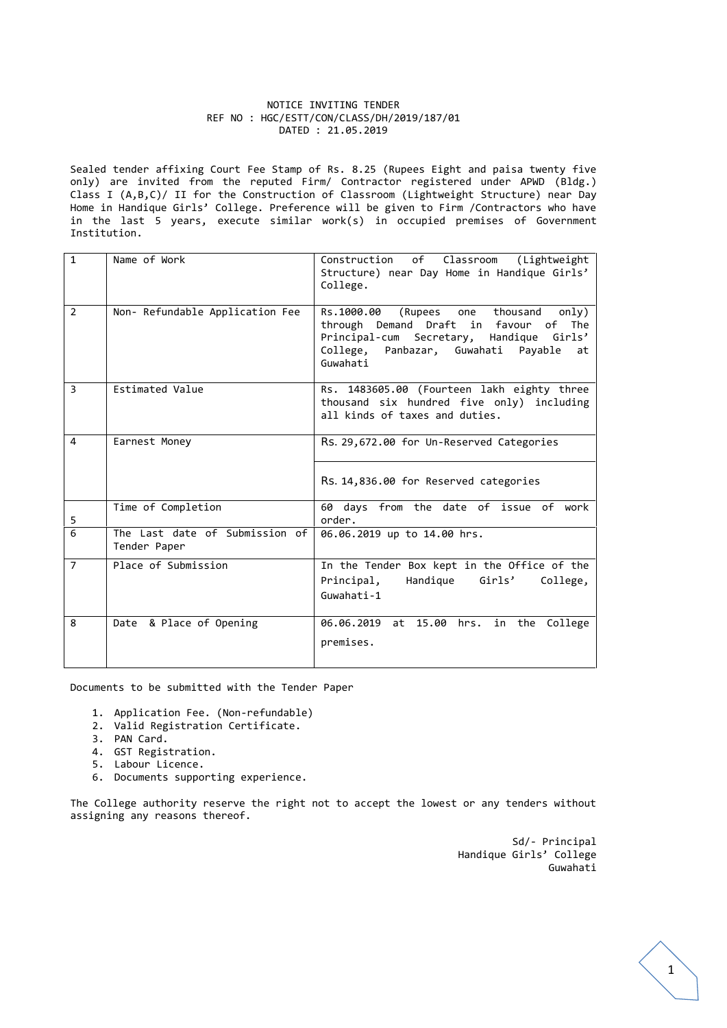#### NOTICE INVITING TENDER REF NO : HGC/ESTT/CON/CLASS/DH/2019/187/01 DATED : 21.05.2019

Sealed tender affixing Court Fee Stamp of Rs. 8.25 (Rupees Eight and paisa twenty five only) are invited from the reputed Firm/ Contractor registered under APWD (Bldg.) Class I (A,B,C)/ II for the Construction of Classroom (Lightweight Structure) near Day Home in Handique Girls' College. Preference will be given to Firm /Contractors who have in the last 5 years, execute similar work(s) in occupied premises of Government Institution.

| $\mathbf{1}$   | Name of Work                                   | Construction of<br>Classroom<br>(Lightweight<br>Structure) near Day Home in Handique Girls'<br>College.                                                                                   |
|----------------|------------------------------------------------|-------------------------------------------------------------------------------------------------------------------------------------------------------------------------------------------|
| $\overline{2}$ | Non- Refundable Application Fee                | Rs.1000.00<br>(Rupees one thousand<br>only)<br>through Demand Draft in favour of The<br>Principal-cum Secretary, Handique Girls'<br>College, Panbazar, Guwahati Payable<br>at<br>Guwahati |
| $\overline{3}$ | Estimated Value                                | Rs. 1483605.00 (Fourteen lakh eighty three<br>thousand six hundred five only) including<br>all kinds of taxes and duties.                                                                 |
| 4              | Earnest Money                                  | Rs. 29,672.00 for Un-Reserved Categories<br>Rs. 14,836.00 for Reserved categories                                                                                                         |
| 5              | Time of Completion                             | 60 days from the date of issue of work<br>order.                                                                                                                                          |
| 6              | The Last date of Submission of<br>Tender Paper | 06.06.2019 up to 14.00 hrs.                                                                                                                                                               |
| $\overline{7}$ | Place of Submission                            | In the Tender Box kept in the Office of the<br>Handique Girls'<br>Principal,<br>College,<br>Guwahati-1                                                                                    |
| 8              | Date & Place of Opening                        | 06.06.2019 at 15.00 hrs. in the College<br>premises.                                                                                                                                      |

Documents to be submitted with the Tender Paper

- 1. Application Fee. (Non-refundable)
- 2. Valid Registration Certificate.
- 3. PAN Card.
- 4. GST Registration.
- 5. Labour Licence.
- 6. Documents supporting experience.

The College authority reserve the right not to accept the lowest or any tenders without assigning any reasons thereof.

> Sd/- Principal Handique Girls' College Guwahati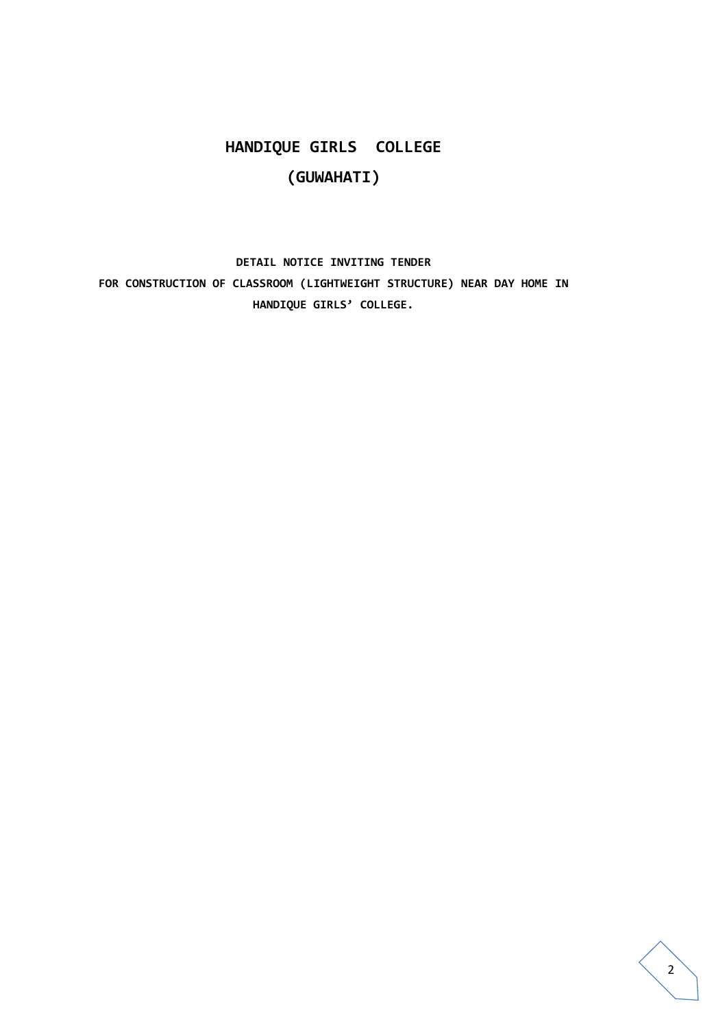# **HANDIQUE GIRLS COLLEGE (GUWAHATI)**

**DETAIL NOTICE INVITING TENDER FOR CONSTRUCTION OF CLASSROOM (LIGHTWEIGHT STRUCTURE) NEAR DAY HOME IN HANDIQUE GIRLS' COLLEGE.**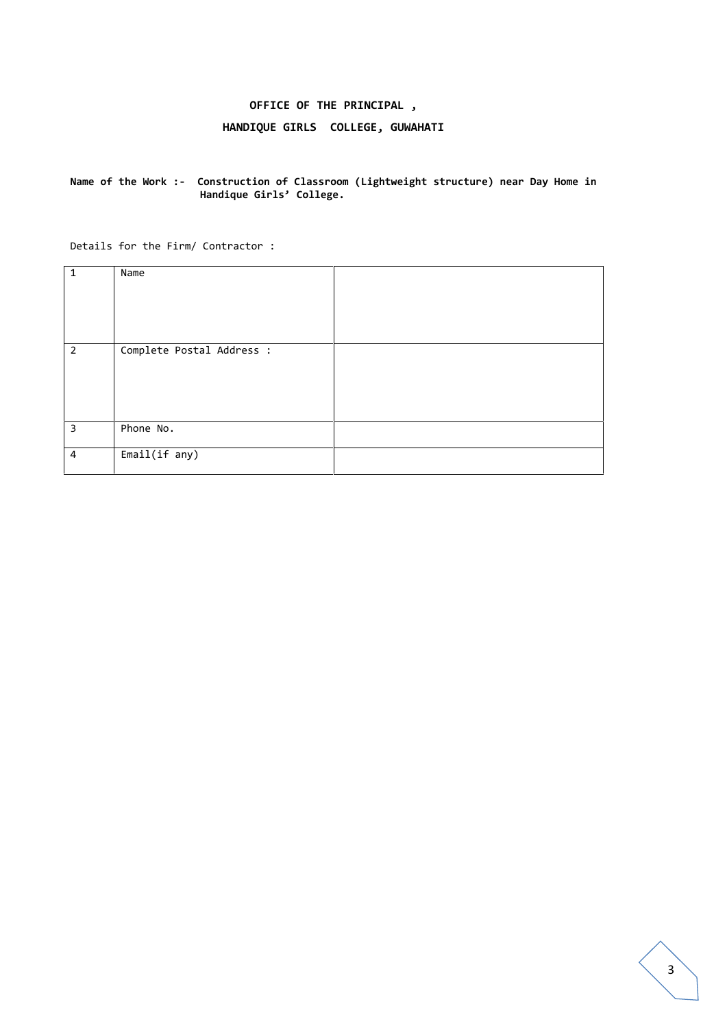## **OFFICE OF THE PRINCIPAL ,**

## **HANDIQUE GIRLS COLLEGE, GUWAHATI**

#### **Name of the Work :- Construction of Classroom (Lightweight structure) near Day Home in Handique Girls' College.**

Details for the Firm/ Contractor :

| $\mathbf{1}$   | Name                      |  |
|----------------|---------------------------|--|
| $\overline{2}$ | Complete Postal Address : |  |
| 3              | Phone No.                 |  |
| 4              | Email(if any)             |  |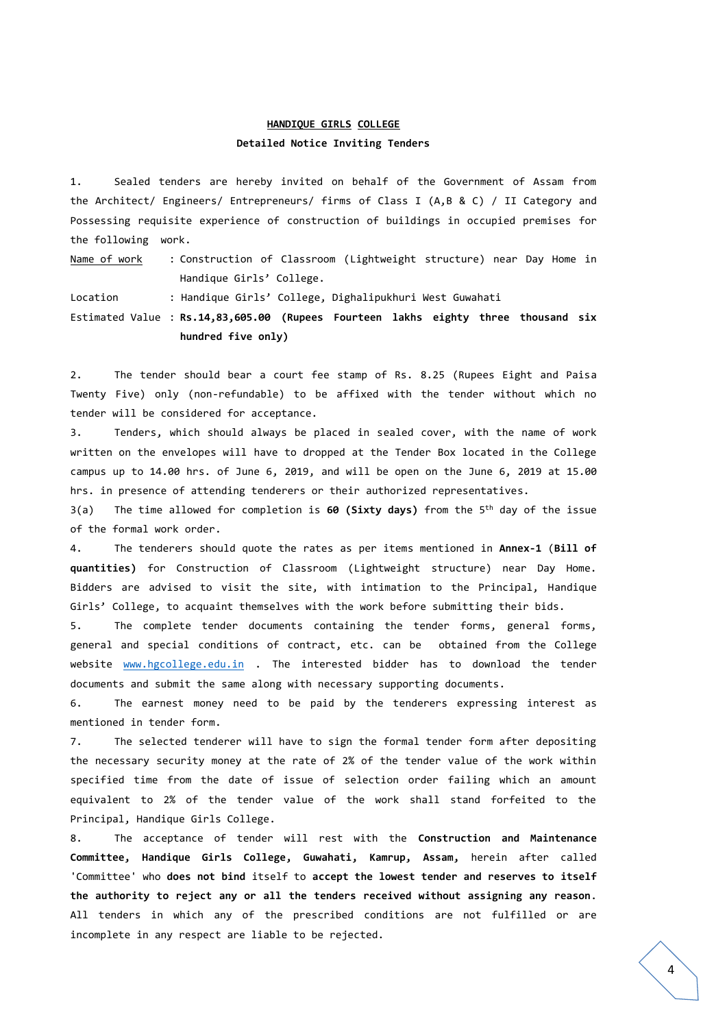## **HANDIQUE GIRLS COLLEGE**

#### **Detailed Notice Inviting Tenders**

1. Sealed tenders are hereby invited on behalf of the Government of Assam from the Architect/ Engineers/ Entrepreneurs/ firms of Class I (A,B & C) / II Category and Possessing requisite experience of construction of buildings in occupied premises for the following work.

Name of work : Construction of Classroom (Lightweight structure) near Day Home in Handique Girls' College.

Location : Handique Girls' College, Dighalipukhuri West Guwahati

Estimated Value : **Rs.14,83,605.00 (Rupees Fourteen lakhs eighty three thousand six hundred five only)**

2. The tender should bear a court fee stamp of Rs. 8.25 (Rupees Eight and Paisa Twenty Five) only (non-refundable) to be affixed with the tender without which no tender will be considered for acceptance.

3. Tenders, which should always be placed in sealed cover, with the name of work written on the envelopes will have to dropped at the Tender Box located in the College campus up to 14.00 hrs. of June 6, 2019, and will be open on the June 6, 2019 at 15.00 hrs. in presence of attending tenderers or their authorized representatives.

3(a) The time allowed for completion is **60 (Sixty days)** from the 5 th day of the issue of the formal work order.

4. The tenderers should quote the rates as per items mentioned in **Annex-1** (**Bill of quantities)** for Construction of Classroom (Lightweight structure) near Day Home. Bidders are advised to visit the site, with intimation to the Principal, Handique Girls' College, to acquaint themselves with the work before submitting their bids.

5. The complete tender documents containing the tender forms, general forms, general and special conditions of contract, etc. can be obtained from the College website www.hgcollege.edu.in . The interested bidder has to download the tender documents and submit the same along with necessary supporting documents.

6. The earnest money need to be paid by the tenderers expressing interest as mentioned in tender form.

7. The selected tenderer will have to sign the formal tender form after depositing the necessary security money at the rate of 2% of the tender value of the work within specified time from the date of issue of selection order failing which an amount equivalent to 2% of the tender value of the work shall stand forfeited to the Principal, Handique Girls College.

8. The acceptance of tender will rest with the **Construction and Maintenance Committee, Handique Girls College, Guwahati, Kamrup, Assam,** herein after called 'Committee' who **does not bind** itself to **accept the lowest tender and reserves to itself the authority to reject any or all the tenders received without assigning any reason**. All tenders in which any of the prescribed conditions are not fulfilled or are incomplete in any respect are liable to be rejected.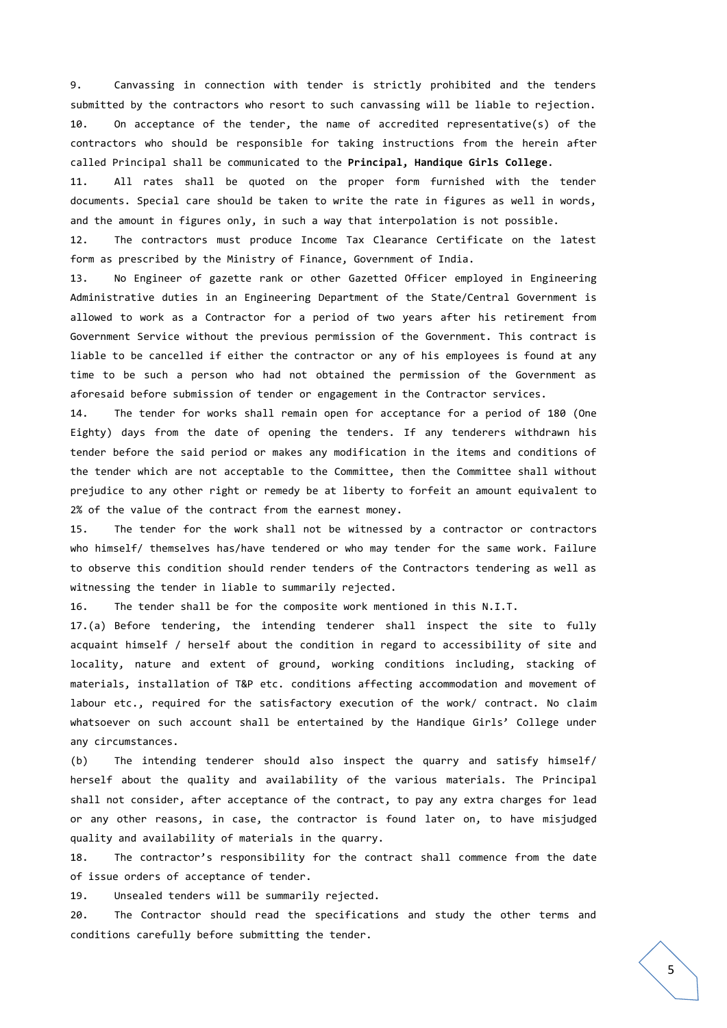9. Canvassing in connection with tender is strictly prohibited and the tenders submitted by the contractors who resort to such canvassing will be liable to rejection. 10. On acceptance of the tender, the name of accredited representative(s) of the contractors who should be responsible for taking instructions from the herein after called Principal shall be communicated to the **Principal, Handique Girls College**.

11. All rates shall be quoted on the proper form furnished with the tender documents. Special care should be taken to write the rate in figures as well in words, and the amount in figures only, in such a way that interpolation is not possible.

12. The contractors must produce Income Tax Clearance Certificate on the latest form as prescribed by the Ministry of Finance, Government of India.

13. No Engineer of gazette rank or other Gazetted Officer employed in Engineering Administrative duties in an Engineering Department of the State/Central Government is allowed to work as a Contractor for a period of two years after his retirement from Government Service without the previous permission of the Government. This contract is liable to be cancelled if either the contractor or any of his employees is found at any time to be such a person who had not obtained the permission of the Government as aforesaid before submission of tender or engagement in the Contractor services.

14. The tender for works shall remain open for acceptance for a period of 180 (One Eighty) days from the date of opening the tenders. If any tenderers withdrawn his tender before the said period or makes any modification in the items and conditions of the tender which are not acceptable to the Committee, then the Committee shall without prejudice to any other right or remedy be at liberty to forfeit an amount equivalent to 2% of the value of the contract from the earnest money.

15. The tender for the work shall not be witnessed by a contractor or contractors who himself/ themselves has/have tendered or who may tender for the same work. Failure to observe this condition should render tenders of the Contractors tendering as well as witnessing the tender in liable to summarily rejected.

16. The tender shall be for the composite work mentioned in this N.I.T.

17.(a) Before tendering, the intending tenderer shall inspect the site to fully acquaint himself / herself about the condition in regard to accessibility of site and locality, nature and extent of ground, working conditions including, stacking of materials, installation of T&P etc. conditions affecting accommodation and movement of labour etc., required for the satisfactory execution of the work/ contract. No claim whatsoever on such account shall be entertained by the Handique Girls' College under any circumstances.

(b) The intending tenderer should also inspect the quarry and satisfy himself/ herself about the quality and availability of the various materials. The Principal shall not consider, after acceptance of the contract, to pay any extra charges for lead or any other reasons, in case, the contractor is found later on, to have misjudged quality and availability of materials in the quarry.

18. The contractor's responsibility for the contract shall commence from the date of issue orders of acceptance of tender.

19. Unsealed tenders will be summarily rejected.

20. The Contractor should read the specifications and study the other terms and conditions carefully before submitting the tender.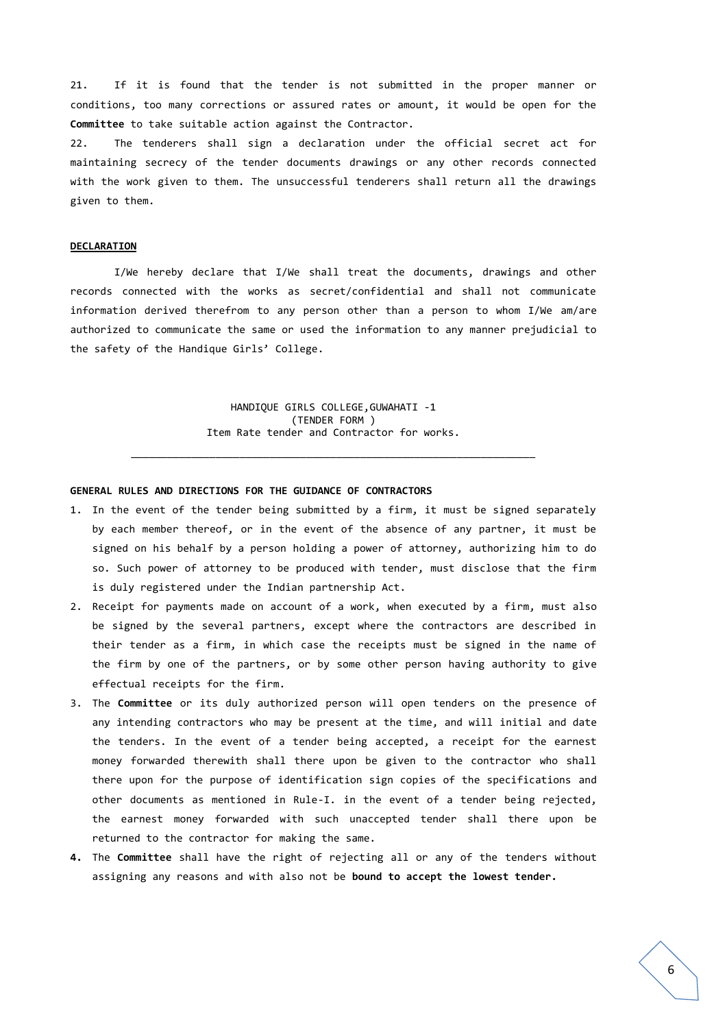21. If it is found that the tender is not submitted in the proper manner or conditions, too many corrections or assured rates or amount, it would be open for the **Committee** to take suitable action against the Contractor.

22. The tenderers shall sign a declaration under the official secret act for maintaining secrecy of the tender documents drawings or any other records connected with the work given to them. The unsuccessful tenderers shall return all the drawings given to them.

#### **DECLARATION**

I/We hereby declare that I/We shall treat the documents, drawings and other records connected with the works as secret/confidential and shall not communicate information derived therefrom to any person other than a person to whom I/We am/are authorized to communicate the same or used the information to any manner prejudicial to the safety of the Handique Girls' College.

> HANDIQUE GIRLS COLLEGE,GUWAHATI -1 (TENDER FORM ) Item Rate tender and Contractor for works.

\_\_\_\_\_\_\_\_\_\_\_\_\_\_\_\_\_\_\_\_\_\_\_\_\_\_\_\_\_\_\_\_\_\_\_\_\_\_\_\_\_\_\_\_\_\_\_\_\_\_\_\_\_\_\_\_\_\_\_\_\_\_\_\_\_\_\_

#### **GENERAL RULES AND DIRECTIONS FOR THE GUIDANCE OF CONTRACTORS**

- 1. In the event of the tender being submitted by a firm, it must be signed separately by each member thereof, or in the event of the absence of any partner, it must be signed on his behalf by a person holding a power of attorney, authorizing him to do so. Such power of attorney to be produced with tender, must disclose that the firm is duly registered under the Indian partnership Act.
- 2. Receipt for payments made on account of a work, when executed by a firm, must also be signed by the several partners, except where the contractors are described in their tender as a firm, in which case the receipts must be signed in the name of the firm by one of the partners, or by some other person having authority to give effectual receipts for the firm.
- 3. The **Committee** or its duly authorized person will open tenders on the presence of any intending contractors who may be present at the time, and will initial and date the tenders. In the event of a tender being accepted, a receipt for the earnest money forwarded therewith shall there upon be given to the contractor who shall there upon for the purpose of identification sign copies of the specifications and other documents as mentioned in Rule-I. in the event of a tender being rejected, the earnest money forwarded with such unaccepted tender shall there upon be returned to the contractor for making the same.
- **4.** The **Committee** shall have the right of rejecting all or any of the tenders without assigning any reasons and with also not be **bound to accept the lowest tender.**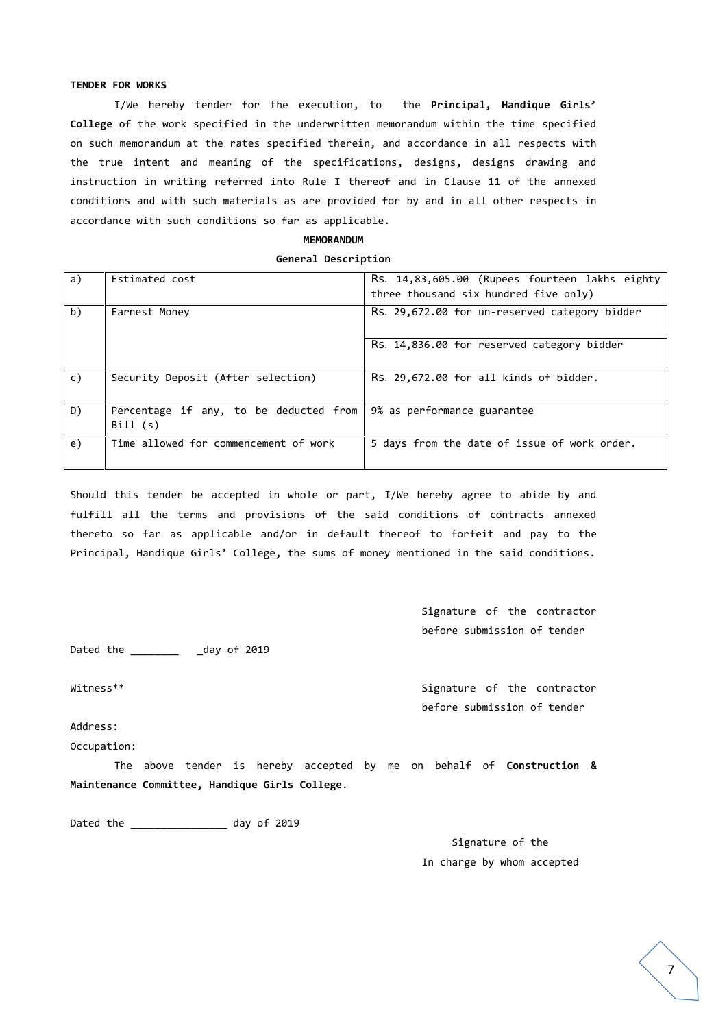#### **TENDER FOR WORKS**

I/We hereby tender for the execution, to the **Principal, Handique Girls' College** of the work specified in the underwritten memorandum within the time specified on such memorandum at the rates specified therein, and accordance in all respects with the true intent and meaning of the specifications, designs, designs drawing and instruction in writing referred into Rule I thereof and in Clause 11 of the annexed conditions and with such materials as are provided for by and in all other respects in accordance with such conditions so far as applicable.

#### **MEMORANDUM**

#### **General Description**

| a) | Estimated cost                                    | Rs. 14,83,605.00 (Rupees fourteen lakhs eighty<br>three thousand six hundred five only) |
|----|---------------------------------------------------|-----------------------------------------------------------------------------------------|
| b) | Earnest Money                                     | Rs. 29,672.00 for un-reserved category bidder                                           |
|    |                                                   | Rs. 14,836.00 for reserved category bidder                                              |
| C) | Security Deposit (After selection)                | Rs. 29,672.00 for all kinds of bidder.                                                  |
| D) | Percentage if any, to be deducted from<br>Bill(s) | 9% as performance guarantee                                                             |
| e) | Time allowed for commencement of work             | 5 days from the date of issue of work order.                                            |

Should this tender be accepted in whole or part, I/We hereby agree to abide by and fulfill all the terms and provisions of the said conditions of contracts annexed thereto so far as applicable and/or in default thereof to forfeit and pay to the Principal, Handique Girls' College, the sums of money mentioned in the said conditions.

> Signature of the contractor before submission of tender

Dated the \_\_\_\_\_\_\_\_\_\_\_\_\_ \_day of 2019

Witness\*\* Signature of the contractor before submission of tender

Address: Occupation:

The above tender is hereby accepted by me on behalf of **Construction & Maintenance Committee, Handique Girls College**.

Dated the \_\_\_\_\_\_\_\_\_\_\_\_\_\_\_\_\_\_\_\_ day of 2019

Signature of the In charge by whom accepted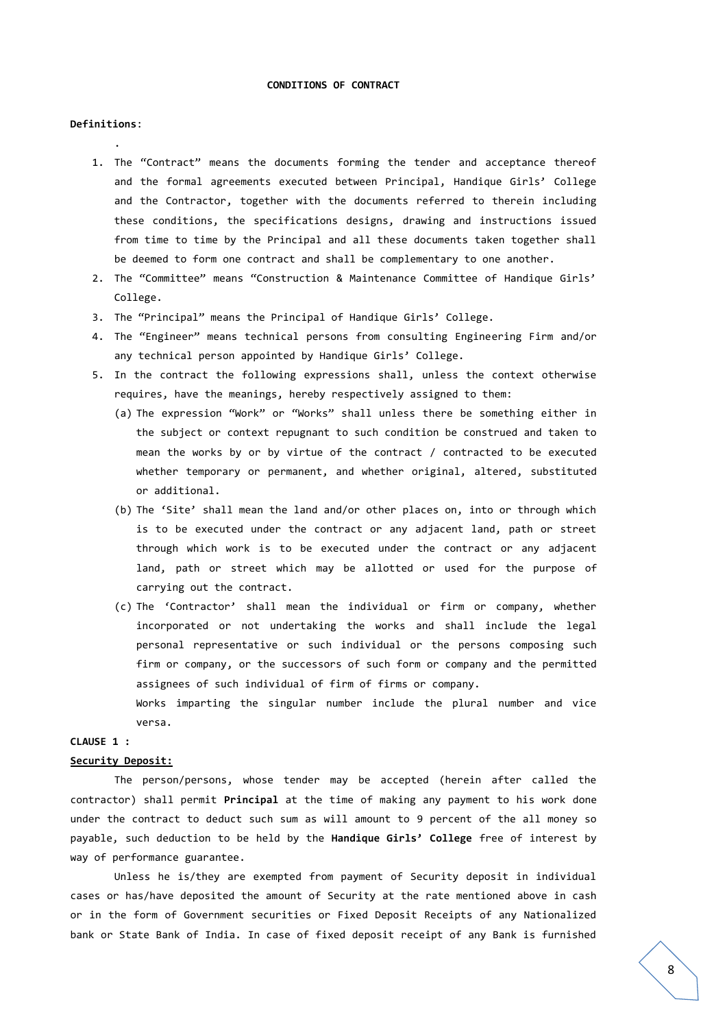#### **CONDITIONS OF CONTRACT**

#### **Definitions**:

.

- 1. The "Contract" means the documents forming the tender and acceptance thereof and the formal agreements executed between Principal, Handique Girls' College and the Contractor, together with the documents referred to therein including these conditions, the specifications designs, drawing and instructions issued from time to time by the Principal and all these documents taken together shall be deemed to form one contract and shall be complementary to one another.
- 2. The "Committee" means "Construction & Maintenance Committee of Handique Girls' College.
- 3. The "Principal" means the Principal of Handique Girls' College.
- 4. The "Engineer" means technical persons from consulting Engineering Firm and/or any technical person appointed by Handique Girls' College.
- 5. In the contract the following expressions shall, unless the context otherwise requires, have the meanings, hereby respectively assigned to them:
	- (a) The expression "Work" or "Works" shall unless there be something either in the subject or context repugnant to such condition be construed and taken to mean the works by or by virtue of the contract / contracted to be executed whether temporary or permanent, and whether original, altered, substituted or additional.
	- (b) The 'Site' shall mean the land and/or other places on, into or through which is to be executed under the contract or any adjacent land, path or street through which work is to be executed under the contract or any adjacent land, path or street which may be allotted or used for the purpose of carrying out the contract.
	- (c) The 'Contractor' shall mean the individual or firm or company, whether incorporated or not undertaking the works and shall include the legal personal representative or such individual or the persons composing such firm or company, or the successors of such form or company and the permitted assignees of such individual of firm of firms or company. Works imparting the singular number include the plural number and vice

versa.

## **CLAUSE 1 :**

#### **Security Deposit:**

The person/persons, whose tender may be accepted (herein after called the contractor) shall permit **Principal** at the time of making any payment to his work done under the contract to deduct such sum as will amount to 9 percent of the all money so payable, such deduction to be held by the **Handique Girls' College** free of interest by way of performance guarantee.

Unless he is/they are exempted from payment of Security deposit in individual cases or has/have deposited the amount of Security at the rate mentioned above in cash or in the form of Government securities or Fixed Deposit Receipts of any Nationalized bank or State Bank of India. In case of fixed deposit receipt of any Bank is furnished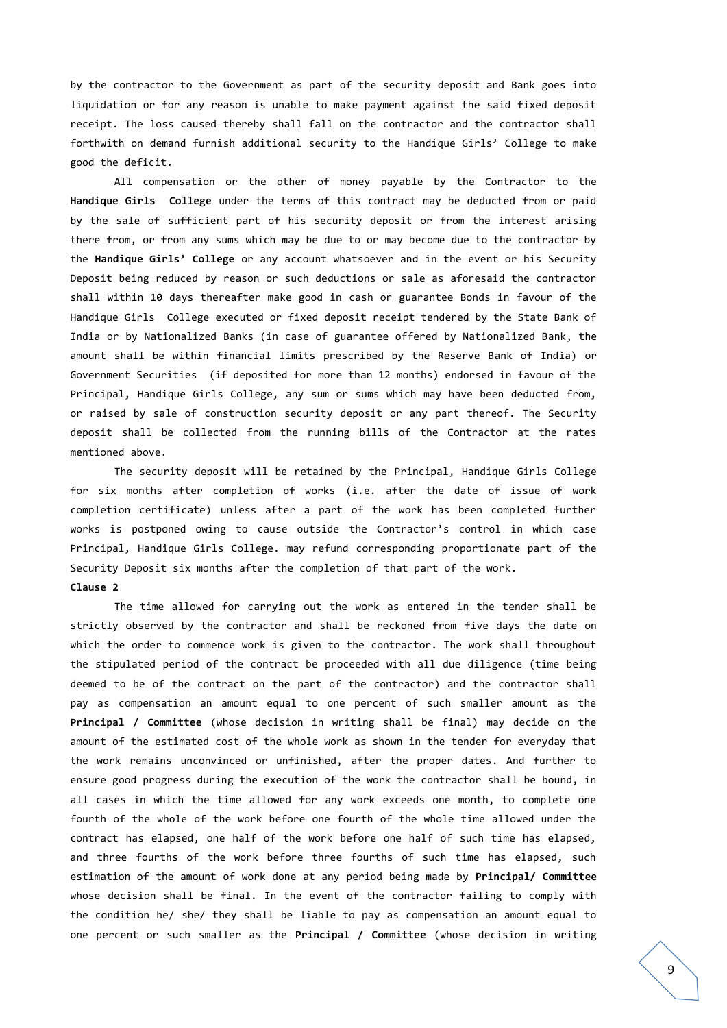by the contractor to the Government as part of the security deposit and Bank goes into liquidation or for any reason is unable to make payment against the said fixed deposit receipt. The loss caused thereby shall fall on the contractor and the contractor shall forthwith on demand furnish additional security to the Handique Girls' College to make good the deficit.

All compensation or the other of money payable by the Contractor to the **Handique Girls College** under the terms of this contract may be deducted from or paid by the sale of sufficient part of his security deposit or from the interest arising there from, or from any sums which may be due to or may become due to the contractor by the **Handique Girls' College** or any account whatsoever and in the event or his Security Deposit being reduced by reason or such deductions or sale as aforesaid the contractor shall within 10 days thereafter make good in cash or guarantee Bonds in favour of the Handique Girls College executed or fixed deposit receipt tendered by the State Bank of India or by Nationalized Banks (in case of guarantee offered by Nationalized Bank, the amount shall be within financial limits prescribed by the Reserve Bank of India) or Government Securities (if deposited for more than 12 months) endorsed in favour of the Principal, Handique Girls College, any sum or sums which may have been deducted from, or raised by sale of construction security deposit or any part thereof. The Security deposit shall be collected from the running bills of the Contractor at the rates mentioned above.

The security deposit will be retained by the Principal, Handique Girls College for six months after completion of works (i.e. after the date of issue of work completion certificate) unless after a part of the work has been completed further works is postponed owing to cause outside the Contractor's control in which case Principal, Handique Girls College. may refund corresponding proportionate part of the Security Deposit six months after the completion of that part of the work.

#### **Clause 2**

The time allowed for carrying out the work as entered in the tender shall be strictly observed by the contractor and shall be reckoned from five days the date on which the order to commence work is given to the contractor. The work shall throughout the stipulated period of the contract be proceeded with all due diligence (time being deemed to be of the contract on the part of the contractor) and the contractor shall pay as compensation an amount equal to one percent of such smaller amount as the **Principal / Committee** (whose decision in writing shall be final) may decide on the amount of the estimated cost of the whole work as shown in the tender for everyday that the work remains unconvinced or unfinished, after the proper dates. And further to ensure good progress during the execution of the work the contractor shall be bound, in all cases in which the time allowed for any work exceeds one month, to complete one fourth of the whole of the work before one fourth of the whole time allowed under the contract has elapsed, one half of the work before one half of such time has elapsed, and three fourths of the work before three fourths of such time has elapsed, such estimation of the amount of work done at any period being made by **Principal/ Committee** whose decision shall be final. In the event of the contractor failing to comply with the condition he/ she/ they shall be liable to pay as compensation an amount equal to one percent or such smaller as the **Principal / Committee** (whose decision in writing

9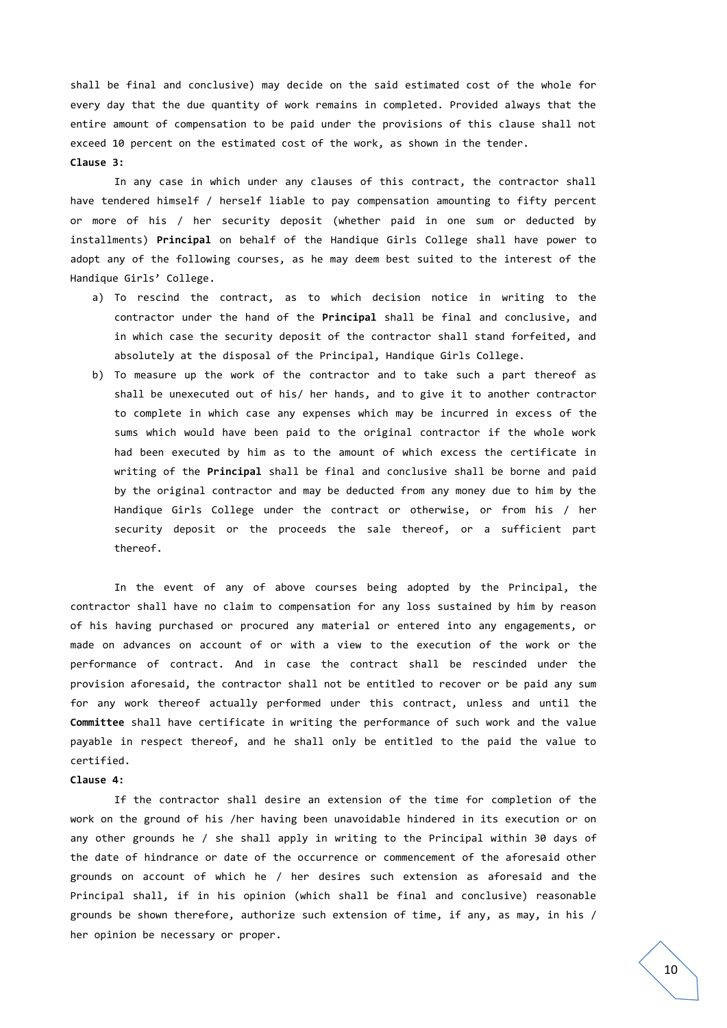shall be final and conclusive) may decide on the said estimated cost of the whole for every day that the due quantity of work remains in completed. Provided always that the entire amount of compensation to be paid under the provisions of this clause shall not exceed 10 percent on the estimated cost of the work, as shown in the tender. **Clause 3:**

In any case in which under any clauses of this contract, the contractor shall have tendered himself / herself liable to pay compensation amounting to fifty percent or more of his / her security deposit (whether paid in one sum or deducted by installments) **Principal** on behalf of the Handique Girls College shall have power to adopt any of the following courses, as he may deem best suited to the interest of the Handique Girls' College.

- a) To rescind the contract, as to which decision notice in writing to the contractor under the hand of the **Principal** shall be final and conclusive, and in which case the security deposit of the contractor shall stand forfeited, and absolutely at the disposal of the Principal, Handique Girls College.
- b) To measure up the work of the contractor and to take such a part thereof as shall be unexecuted out of his/ her hands, and to give it to another contractor to complete in which case any expenses which may be incurred in excess of the sums which would have been paid to the original contractor if the whole work had been executed by him as to the amount of which excess the certificate in writing of the **Principal** shall be final and conclusive shall be borne and paid by the original contractor and may be deducted from any money due to him by the Handique Girls College under the contract or otherwise, or from his / her security deposit or the proceeds the sale thereof, or a sufficient part thereof.

In the event of any of above courses being adopted by the Principal, the contractor shall have no claim to compensation for any loss sustained by him by reason of his having purchased or procured any material or entered into any engagements, or made on advances on account of or with a view to the execution of the work or the performance of contract. And in case the contract shall be rescinded under the provision aforesaid, the contractor shall not be entitled to recover or be paid any sum for any work thereof actually performed under this contract, unless and until the **Committee** shall have certificate in writing the performance of such work and the value payable in respect thereof, and he shall only be entitled to the paid the value to certified.

#### **Clause 4:**

If the contractor shall desire an extension of the time for completion of the work on the ground of his /her having been unavoidable hindered in its execution or on any other grounds he / she shall apply in writing to the Principal within 30 days of the date of hindrance or date of the occurrence or commencement of the aforesaid other grounds on account of which he / her desires such extension as aforesaid and the Principal shall, if in his opinion (which shall be final and conclusive) reasonable grounds be shown therefore, authorize such extension of time, if any, as may, in his / her opinion be necessary or proper.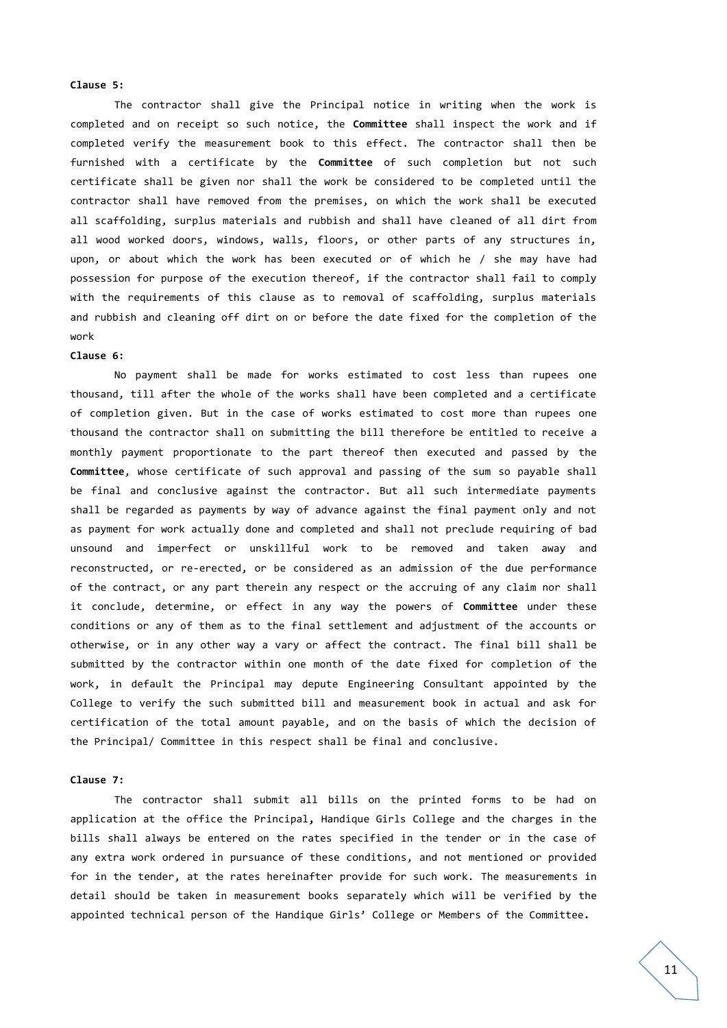#### **Clause 5:**

The contractor shall give the Principal notice in writing when the work is completed and on receipt so such notice, the **Committee** shall inspect the work and if completed verify the measurement book to this effect. The contractor shall then be furnished with a certificate by the **Committee** of such completion but not such certificate shall be given nor shall the work be considered to be completed until the contractor shall have removed from the premises, on which the work shall be executed all scaffolding, surplus materials and rubbish and shall have cleaned of all dirt from all wood worked doors, windows, walls, floors, or other parts of any structures in, upon, or about which the work has been executed or of which he / she may have had possession for purpose of the execution thereof, if the contractor shall fail to comply with the requirements of this clause as to removal of scaffolding, surplus materials and rubbish and cleaning off dirt on or before the date fixed for the completion of the work

#### **Clause 6:**

No payment shall be made for works estimated to cost less than rupees one thousand, till after the whole of the works shall have been completed and a certificate of completion given. But in the case of works estimated to cost more than rupees one thousand the contractor shall on submitting the bill therefore be entitled to receive a monthly payment proportionate to the part thereof then executed and passed by the **Committee**, whose certificate of such approval and passing of the sum so payable shall be final and conclusive against the contractor. But all such intermediate payments shall be regarded as payments by way of advance against the final payment only and not as payment for work actually done and completed and shall not preclude requiring of bad unsound and imperfect or unskillful work to be removed and taken away and reconstructed, or re-erected, or be considered as an admission of the due performance of the contract, or any part therein any respect or the accruing of any claim nor shall it conclude, determine, or effect in any way the powers of **Committee** under these conditions or any of them as to the final settlement and adjustment of the accounts or otherwise, or in any other way a vary or affect the contract. The final bill shall be submitted by the contractor within one month of the date fixed for completion of the work, in default the Principal may depute Engineering Consultant appointed by the College to verify the such submitted bill and measurement book in actual and ask for certification of the total amount payable, and on the basis of which the decision of the Principal/ Committee in this respect shall be final and conclusive.

#### **Clause 7:**

The contractor shall submit all bills on the printed forms to be had on application at the office the Principal**,** Handique Girls College and the charges in the bills shall always be entered on the rates specified in the tender or in the case of any extra work ordered in pursuance of these conditions, and not mentioned or provided for in the tender, at the rates hereinafter provide for such work. The measurements in detail should be taken in measurement books separately which will be verified by the appointed technical person of the Handique Girls' College or Members of the Committee**.**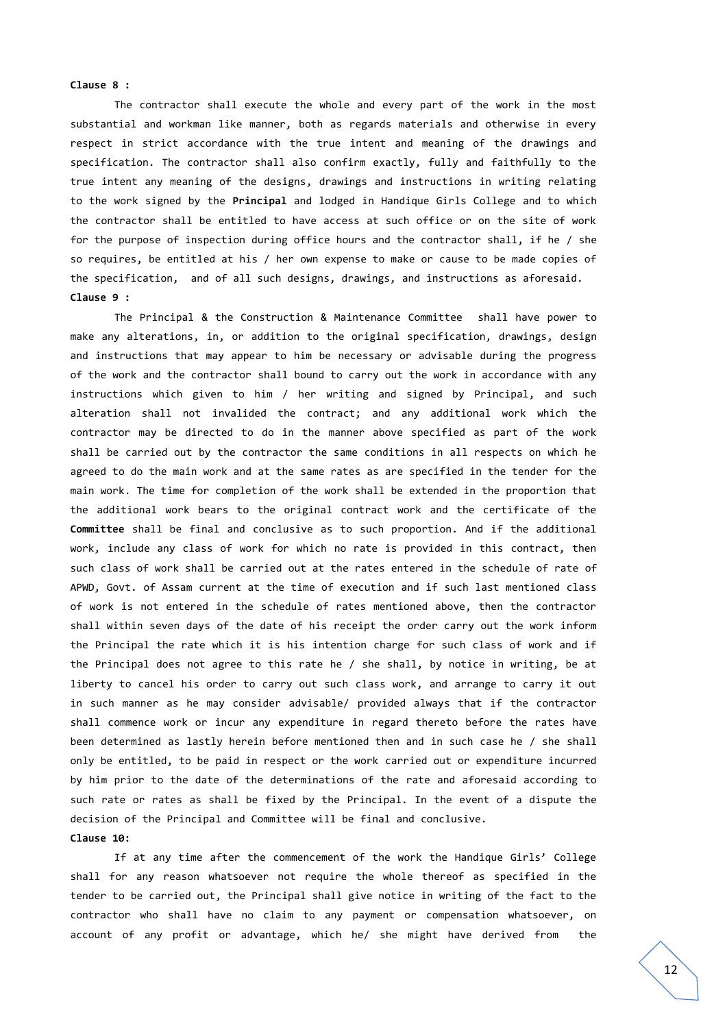#### **Clause 8 :**

The contractor shall execute the whole and every part of the work in the most substantial and workman like manner, both as regards materials and otherwise in every respect in strict accordance with the true intent and meaning of the drawings and specification. The contractor shall also confirm exactly, fully and faithfully to the true intent any meaning of the designs, drawings and instructions in writing relating to the work signed by the **Principal** and lodged in Handique Girls College and to which the contractor shall be entitled to have access at such office or on the site of work for the purpose of inspection during office hours and the contractor shall, if he / she so requires, be entitled at his / her own expense to make or cause to be made copies of the specification, and of all such designs, drawings, and instructions as aforesaid. **Clause 9 :**

The Principal & the Construction & Maintenance Committee shall have power to make any alterations, in, or addition to the original specification, drawings, design and instructions that may appear to him be necessary or advisable during the progress of the work and the contractor shall bound to carry out the work in accordance with any instructions which given to him / her writing and signed by Principal, and such alteration shall not invalided the contract; and any additional work which the contractor may be directed to do in the manner above specified as part of the work shall be carried out by the contractor the same conditions in all respects on which he agreed to do the main work and at the same rates as are specified in the tender for the main work. The time for completion of the work shall be extended in the proportion that the additional work bears to the original contract work and the certificate of the **Committee** shall be final and conclusive as to such proportion. And if the additional work, include any class of work for which no rate is provided in this contract, then such class of work shall be carried out at the rates entered in the schedule of rate of APWD, Govt. of Assam current at the time of execution and if such last mentioned class of work is not entered in the schedule of rates mentioned above, then the contractor shall within seven days of the date of his receipt the order carry out the work inform the Principal the rate which it is his intention charge for such class of work and if the Principal does not agree to this rate he / she shall, by notice in writing, be at liberty to cancel his order to carry out such class work, and arrange to carry it out in such manner as he may consider advisable/ provided always that if the contractor shall commence work or incur any expenditure in regard thereto before the rates have been determined as lastly herein before mentioned then and in such case he / she shall only be entitled, to be paid in respect or the work carried out or expenditure incurred by him prior to the date of the determinations of the rate and aforesaid according to such rate or rates as shall be fixed by the Principal. In the event of a dispute the decision of the Principal and Committee will be final and conclusive.

#### **Clause 10:**

If at any time after the commencement of the work the Handique Girls' College shall for any reason whatsoever not require the whole thereof as specified in the tender to be carried out, the Principal shall give notice in writing of the fact to the contractor who shall have no claim to any payment or compensation whatsoever, on account of any profit or advantage, which he/ she might have derived from the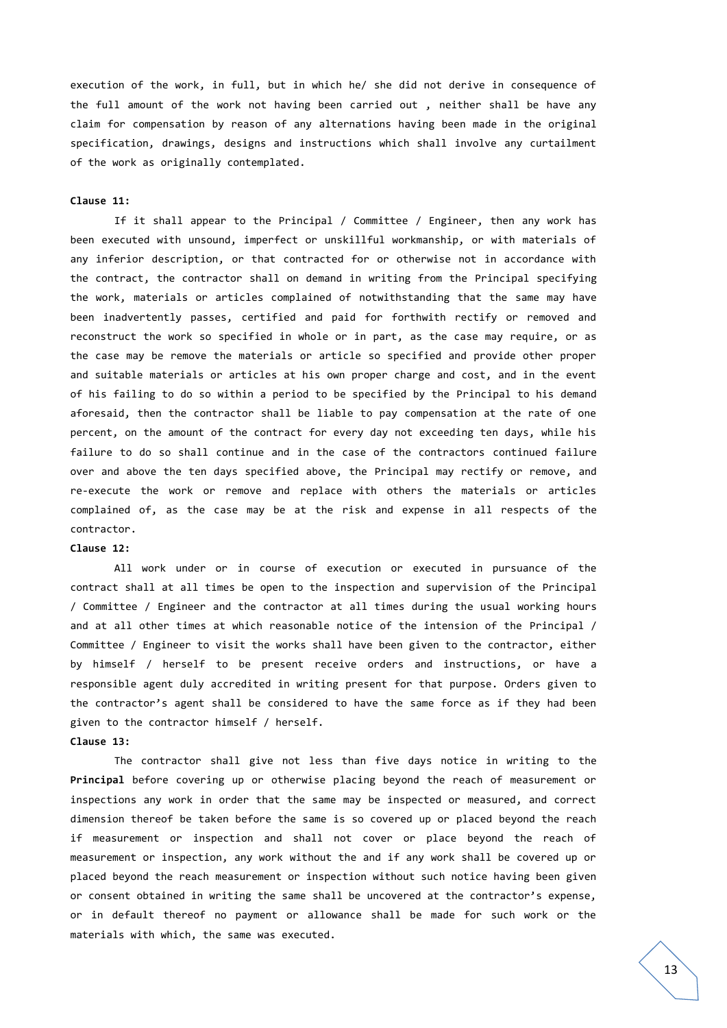execution of the work, in full, but in which he/ she did not derive in consequence of the full amount of the work not having been carried out , neither shall be have any claim for compensation by reason of any alternations having been made in the original specification, drawings, designs and instructions which shall involve any curtailment of the work as originally contemplated.

#### **Clause 11:**

If it shall appear to the Principal / Committee / Engineer, then any work has been executed with unsound, imperfect or unskillful workmanship, or with materials of any inferior description, or that contracted for or otherwise not in accordance with the contract, the contractor shall on demand in writing from the Principal specifying the work, materials or articles complained of notwithstanding that the same may have been inadvertently passes, certified and paid for forthwith rectify or removed and reconstruct the work so specified in whole or in part, as the case may require, or as the case may be remove the materials or article so specified and provide other proper and suitable materials or articles at his own proper charge and cost, and in the event of his failing to do so within a period to be specified by the Principal to his demand aforesaid, then the contractor shall be liable to pay compensation at the rate of one percent, on the amount of the contract for every day not exceeding ten days, while his failure to do so shall continue and in the case of the contractors continued failure over and above the ten days specified above, the Principal may rectify or remove, and re-execute the work or remove and replace with others the materials or articles complained of, as the case may be at the risk and expense in all respects of the contractor.

#### **Clause 12:**

All work under or in course of execution or executed in pursuance of the contract shall at all times be open to the inspection and supervision of the Principal / Committee / Engineer and the contractor at all times during the usual working hours and at all other times at which reasonable notice of the intension of the Principal / Committee / Engineer to visit the works shall have been given to the contractor, either by himself / herself to be present receive orders and instructions, or have a responsible agent duly accredited in writing present for that purpose. Orders given to the contractor's agent shall be considered to have the same force as if they had been given to the contractor himself / herself.

### **Clause 13:**

The contractor shall give not less than five days notice in writing to the **Principal** before covering up or otherwise placing beyond the reach of measurement or inspections any work in order that the same may be inspected or measured, and correct dimension thereof be taken before the same is so covered up or placed beyond the reach if measurement or inspection and shall not cover or place beyond the reach of measurement or inspection, any work without the and if any work shall be covered up or placed beyond the reach measurement or inspection without such notice having been given or consent obtained in writing the same shall be uncovered at the contractor's expense, or in default thereof no payment or allowance shall be made for such work or the materials with which, the same was executed.

13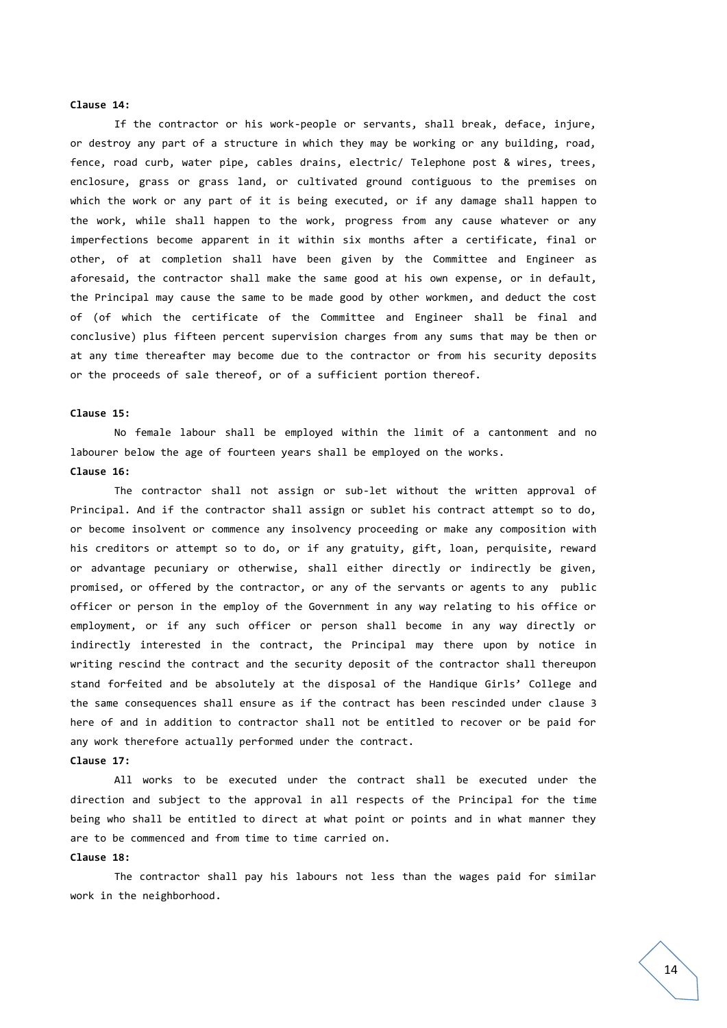#### **Clause 14:**

If the contractor or his work-people or servants, shall break, deface, injure, or destroy any part of a structure in which they may be working or any building, road, fence, road curb, water pipe, cables drains, electric/ Telephone post & wires, trees, enclosure, grass or grass land, or cultivated ground contiguous to the premises on which the work or any part of it is being executed, or if any damage shall happen to the work, while shall happen to the work, progress from any cause whatever or any imperfections become apparent in it within six months after a certificate, final or other, of at completion shall have been given by the Committee and Engineer as aforesaid, the contractor shall make the same good at his own expense, or in default, the Principal may cause the same to be made good by other workmen, and deduct the cost of (of which the certificate of the Committee and Engineer shall be final and conclusive) plus fifteen percent supervision charges from any sums that may be then or at any time thereafter may become due to the contractor or from his security deposits or the proceeds of sale thereof, or of a sufficient portion thereof.

#### **Clause 15:**

No female labour shall be employed within the limit of a cantonment and no labourer below the age of fourteen years shall be employed on the works.

#### **Clause 16:**

The contractor shall not assign or sub-let without the written approval of Principal. And if the contractor shall assign or sublet his contract attempt so to do, or become insolvent or commence any insolvency proceeding or make any composition with his creditors or attempt so to do, or if any gratuity, gift, loan, perquisite, reward or advantage pecuniary or otherwise, shall either directly or indirectly be given, promised, or offered by the contractor, or any of the servants or agents to any public officer or person in the employ of the Government in any way relating to his office or employment, or if any such officer or person shall become in any way directly or indirectly interested in the contract, the Principal may there upon by notice in writing rescind the contract and the security deposit of the contractor shall thereupon stand forfeited and be absolutely at the disposal of the Handique Girls' College and the same consequences shall ensure as if the contract has been rescinded under clause 3 here of and in addition to contractor shall not be entitled to recover or be paid for any work therefore actually performed under the contract.

#### **Clause 17:**

All works to be executed under the contract shall be executed under the direction and subject to the approval in all respects of the Principal for the time being who shall be entitled to direct at what point or points and in what manner they are to be commenced and from time to time carried on.

#### **Clause 18:**

The contractor shall pay his labours not less than the wages paid for similar work in the neighborhood.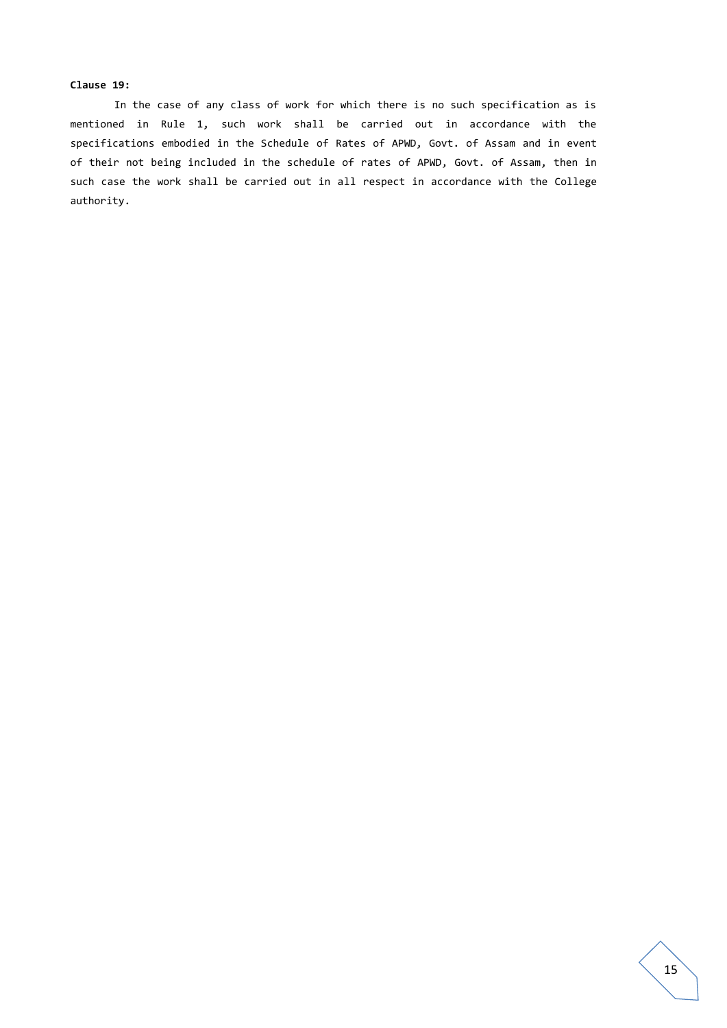#### **Clause 19:**

In the case of any class of work for which there is no such specification as is mentioned in Rule 1, such work shall be carried out in accordance with the specifications embodied in the Schedule of Rates of APWD, Govt. of Assam and in event of their not being included in the schedule of rates of APWD, Govt. of Assam, then in such case the work shall be carried out in all respect in accordance with the College authority.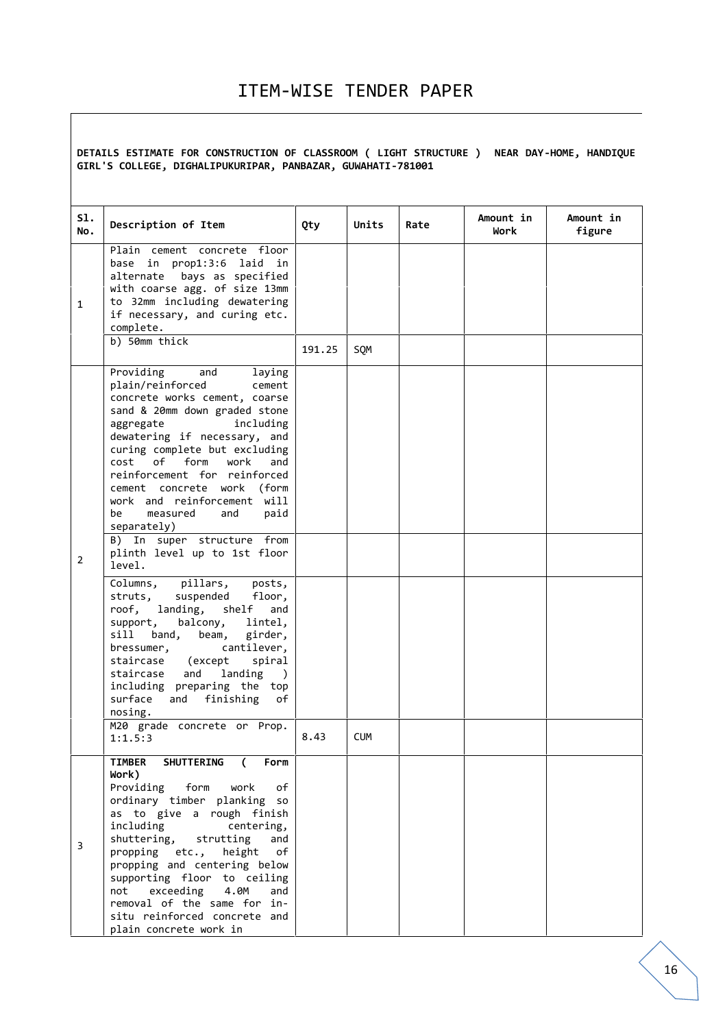## ITEM-WISE TENDER PAPER

**DETAILS ESTIMATE FOR CONSTRUCTION OF CLASSROOM ( LIGHT STRUCTURE ) NEAR DAY-HOME, HANDIQUE GIRL'S COLLEGE, DIGHALIPUKURIPAR, PANBAZAR, GUWAHATI-781001**

| S1.<br>No.     | Description of Item                                                                                                                                                                                                                                                                                                                                                                                                                                                             | Qty    | Units      | Rate | Amount in<br>Work | Amount in<br>figure |
|----------------|---------------------------------------------------------------------------------------------------------------------------------------------------------------------------------------------------------------------------------------------------------------------------------------------------------------------------------------------------------------------------------------------------------------------------------------------------------------------------------|--------|------------|------|-------------------|---------------------|
| $\mathbf{1}$   | Plain cement concrete floor<br>base in prop1:3:6 laid in<br>bays as specified<br>alternate<br>with coarse agg. of size 13mm<br>to 32mm including dewatering<br>if necessary, and curing etc.<br>complete.                                                                                                                                                                                                                                                                       |        |            |      |                   |                     |
|                | b) 50mm thick                                                                                                                                                                                                                                                                                                                                                                                                                                                                   | 191.25 | SQM        |      |                   |                     |
| $\overline{2}$ | Providing<br>and<br>laying<br>plain/reinforced<br>cement<br>concrete works cement, coarse<br>sand & 20mm down graded stone<br>aggregate<br>including<br>dewatering if necessary, and<br>curing complete but excluding<br>of<br>form<br>cost<br>work<br>and<br>reinforcement for reinforced<br>cement concrete work (form<br>work and reinforcement will<br>be<br>measured<br>and<br>paid<br>separately)<br>B) In super structure from<br>plinth level up to 1st floor<br>level. |        |            |      |                   |                     |
|                | Columns, pillars,<br>posts,<br>struts, suspended<br>floor,<br>roof, landing, shelf<br>and<br>balcony,<br>support,<br>lintel,<br>sill<br>band,<br>beam,<br>girder,<br>cantilever,<br>bressumer,<br>staircase (except<br>spiral<br>landing<br>staircase<br>and<br>$\lambda$<br>including preparing the top<br>surface<br>and finishing<br>of<br>nosing.                                                                                                                           |        |            |      |                   |                     |
|                | M20 grade concrete or Prop.<br>1:1.5:3                                                                                                                                                                                                                                                                                                                                                                                                                                          | 8.43   | <b>CUM</b> |      |                   |                     |
| 3              | <b>SHUTTERING</b><br>Form<br>TIMBER<br>$\epsilon$<br>Work)<br>Providing form work<br>of<br>ordinary timber planking so<br>as to give a rough finish<br>including<br>centering,<br>shuttering, strutting<br>and<br>propping etc., height of<br>propping and centering below<br>supporting floor to ceiling<br>not exceeding<br>4.0M<br>and<br>removal of the same for in-<br>situ reinforced concrete and                                                                        |        |            |      |                   |                     |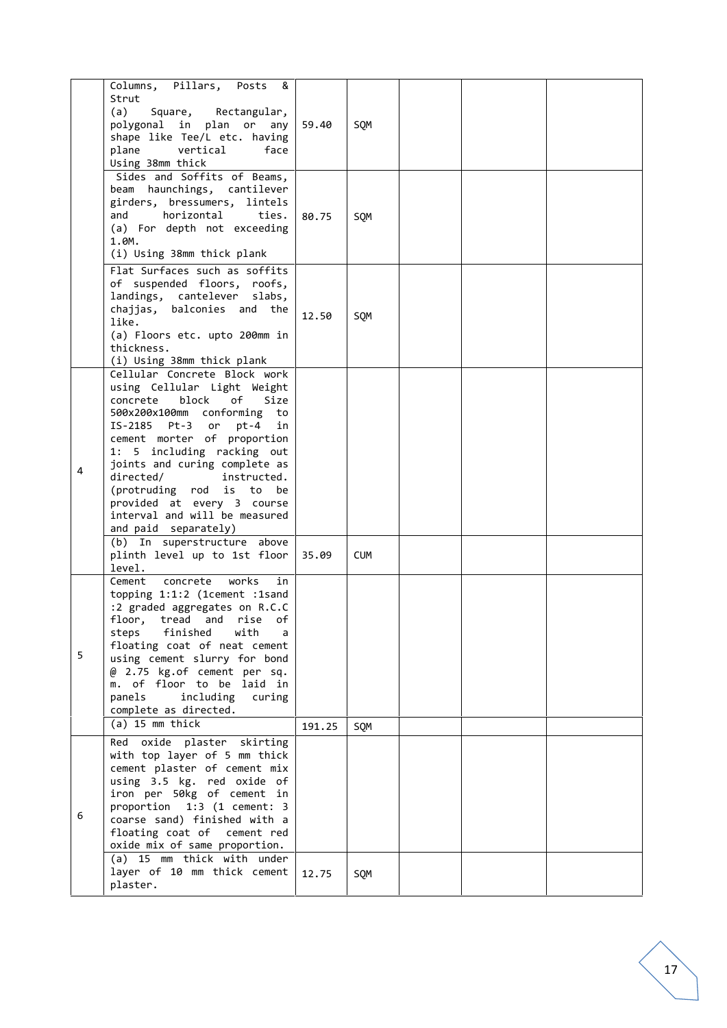|   | Columns, Pillars,<br>Posts<br>&<br>Strut<br>(a)<br>Square, Rectangular,<br>polygonal in plan or<br>any<br>shape like Tee/L etc. having<br>vertical<br>plane<br>face<br>Using 38mm thick                                                                                                                                                                                      | 59.40  | SQM        |  |  |
|---|------------------------------------------------------------------------------------------------------------------------------------------------------------------------------------------------------------------------------------------------------------------------------------------------------------------------------------------------------------------------------|--------|------------|--|--|
|   | Sides and Soffits of Beams,<br>beam haunchings, cantilever<br>girders, bressumers, lintels<br>horizontal<br>and<br>ties.<br>(a) For depth not exceeding<br>1.0M.<br>(i) Using 38mm thick plank                                                                                                                                                                               | 80.75  | SQM        |  |  |
|   | Flat Surfaces such as soffits<br>of suspended floors, roofs,<br>landings, cantelever slabs,<br>chajjas, balconies and the<br>like.<br>(a) Floors etc. upto 200mm in<br>thickness.<br>(i) Using 38mm thick plank                                                                                                                                                              | 12.50  | SQM        |  |  |
|   | Cellular Concrete Block work<br>using Cellular Light Weight<br>block<br>оf<br>concrete<br>Size<br>500x200x100mm conforming to<br>$pt-4$<br>IS-2185 Pt-3 or<br>in<br>cement morter of proportion<br>1: 5 including racking out                                                                                                                                                |        |            |  |  |
| 4 | joints and curing complete as<br>directed/<br>instructed.<br>(protruding rod is to be<br>provided at every 3 course<br>interval and will be measured<br>and paid separately)<br>(b) In superstructure above                                                                                                                                                                  |        |            |  |  |
|   | plinth level up to 1st floor<br>level.                                                                                                                                                                                                                                                                                                                                       | 35.09  | <b>CUM</b> |  |  |
| 5 | Cement concrete works<br>in<br>topping 1:1:2 (1cement :1sand<br>:2 graded aggregates on R.C.C<br>rise<br>floor, tread<br>and<br>оf<br>finished<br>with<br>steps<br>a<br>floating coat of neat cement<br>using cement slurry for bond<br>@ 2.75 kg.of cement per sq.<br>m. of floor to be laid in<br>including curing<br>panels<br>complete as directed.<br>$(a)$ 15 mm thick | 191.25 | SQM        |  |  |
| 6 | Red oxide plaster skirting<br>with top layer of 5 mm thick<br>cement plaster of cement mix<br>using 3.5 kg. red oxide of<br>iron per 50kg of cement in<br>proportion 1:3 (1 cement: 3<br>coarse sand) finished with a<br>floating coat of cement red<br>oxide mix of same proportion.<br>(a) 15 mm thick with under                                                          |        |            |  |  |
|   | layer of 10 mm thick cement<br>plaster.                                                                                                                                                                                                                                                                                                                                      | 12.75  | SQM        |  |  |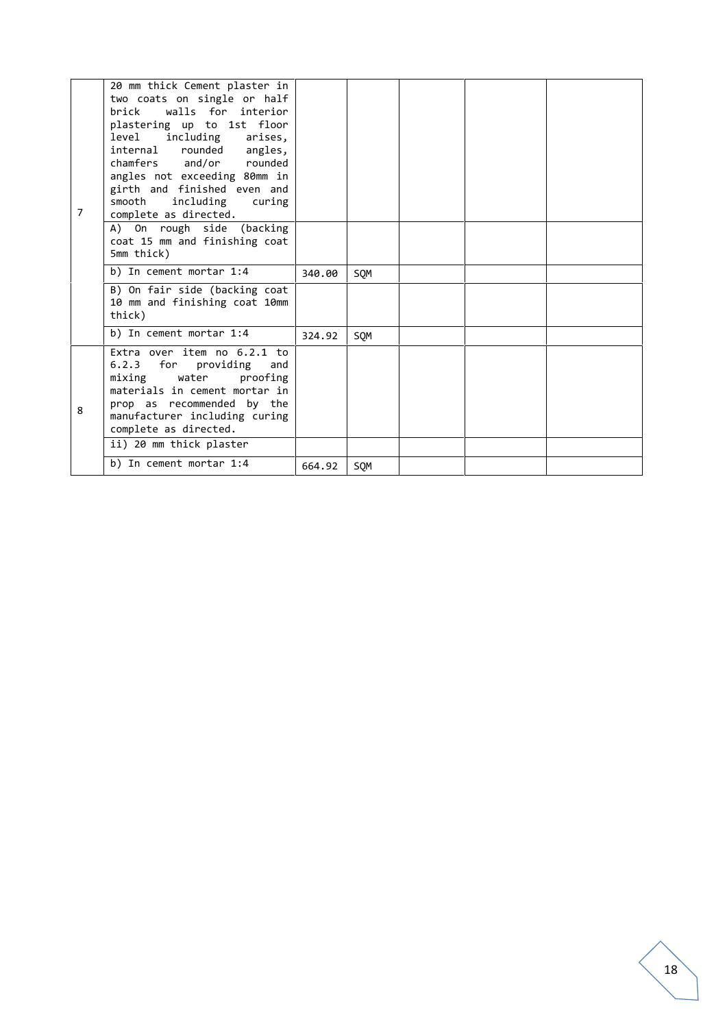| $\overline{7}$ | 20 mm thick Cement plaster in<br>two coats on single or half<br>walls for interior<br>hrick<br>plastering up to 1st floor<br>level including<br>arises,<br>internal rounded angles,<br>chamfers and/or rounded<br>angles not exceeding 80mm in<br>girth and finished even and<br>smooth<br>including<br>curing<br>complete as directed.<br>A) On rough side (backing<br>coat 15 mm and finishing coat<br>5mm thick) |        |     |  |  |
|----------------|---------------------------------------------------------------------------------------------------------------------------------------------------------------------------------------------------------------------------------------------------------------------------------------------------------------------------------------------------------------------------------------------------------------------|--------|-----|--|--|
|                | b) In cement mortar 1:4                                                                                                                                                                                                                                                                                                                                                                                             | 340.00 | SQM |  |  |
|                | B) On fair side (backing coat<br>10 mm and finishing coat 10mm<br>thick)                                                                                                                                                                                                                                                                                                                                            |        |     |  |  |
|                | b) In cement mortar 1:4                                                                                                                                                                                                                                                                                                                                                                                             | 324.92 | SQM |  |  |
| 8              | Extra over item no $6.2.1$ to<br>6.2.3 for providing<br>and<br>mixing water<br>proofing<br>materials in cement mortar in<br>prop as recommended by the<br>manufacturer including curing<br>complete as directed.                                                                                                                                                                                                    |        |     |  |  |
|                | ii) 20 mm thick plaster                                                                                                                                                                                                                                                                                                                                                                                             |        |     |  |  |
|                | b) In cement mortar 1:4                                                                                                                                                                                                                                                                                                                                                                                             | 664.92 | SOM |  |  |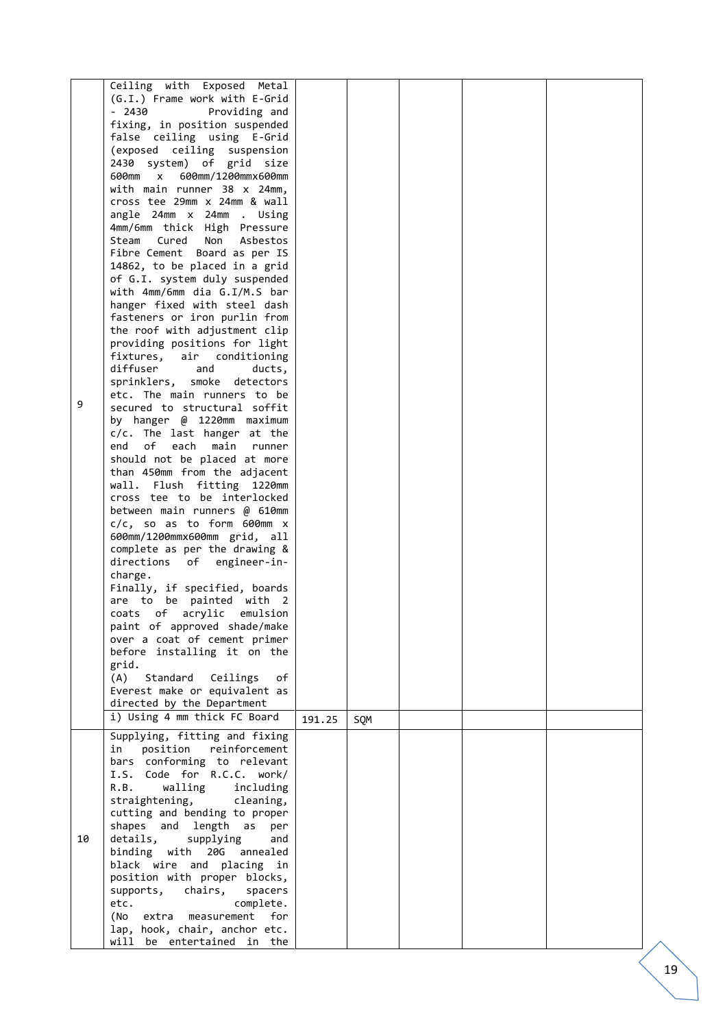|    | Ceiling with Exposed Metal                                   |        |     |  |    |
|----|--------------------------------------------------------------|--------|-----|--|----|
|    | (G.I.) Frame work with E-Grid                                |        |     |  |    |
|    | $-2430$<br>Providing and                                     |        |     |  |    |
|    | fixing, in position suspended                                |        |     |  |    |
|    | false ceiling using E-Grid                                   |        |     |  |    |
|    | (exposed ceiling suspension                                  |        |     |  |    |
|    | 2430 system) of grid size                                    |        |     |  |    |
|    | 600mm x 600mm/1200mmx600mm                                   |        |     |  |    |
|    | with main runner 38 x 24mm,                                  |        |     |  |    |
|    | cross tee 29mm x 24mm & wall                                 |        |     |  |    |
|    | angle 24mm x 24mm . Using                                    |        |     |  |    |
|    | 4mm/6mm thick High Pressure                                  |        |     |  |    |
|    | Steam<br>Cured<br>Non<br>Asbestos                            |        |     |  |    |
|    | Fibre Cement Board as per IS                                 |        |     |  |    |
|    | 14862, to be placed in a grid                                |        |     |  |    |
|    | of G.I. system duly suspended                                |        |     |  |    |
|    | with 4mm/6mm dia G.I/M.S bar                                 |        |     |  |    |
|    | hanger fixed with steel dash                                 |        |     |  |    |
|    | fasteners or iron purlin from                                |        |     |  |    |
|    | the roof with adjustment clip                                |        |     |  |    |
|    | providing positions for light                                |        |     |  |    |
|    | fixtures, air conditioning                                   |        |     |  |    |
|    | diffuser<br>and<br>ducts,                                    |        |     |  |    |
|    | sprinklers, smoke detectors                                  |        |     |  |    |
| 9  | etc. The main runners to be                                  |        |     |  |    |
|    | secured to structural soffit                                 |        |     |  |    |
|    | by hanger @ 1220mm maximum                                   |        |     |  |    |
|    | c/c. The last hanger at the<br>of each main<br>end<br>runner |        |     |  |    |
|    | should not be placed at more                                 |        |     |  |    |
|    | than 450mm from the adjacent                                 |        |     |  |    |
|    | wall. Flush fitting 1220mm                                   |        |     |  |    |
|    | cross tee to be interlocked                                  |        |     |  |    |
|    | between main runners @ 610mm                                 |        |     |  |    |
|    | $c/c$ , so as to form 600mm $x$                              |        |     |  |    |
|    | 600mm/1200mmx600mm grid, all                                 |        |     |  |    |
|    | complete as per the drawing &                                |        |     |  |    |
|    | directions of<br>engineer-in-                                |        |     |  |    |
|    | charge.                                                      |        |     |  |    |
|    | Finally, if specified, boards                                |        |     |  |    |
|    | are to be painted with 2                                     |        |     |  |    |
|    | coats of acrylic emulsion                                    |        |     |  |    |
|    | paint of approved shade/make                                 |        |     |  |    |
|    | over a coat of cement primer                                 |        |     |  |    |
|    | before installing it on the                                  |        |     |  |    |
|    | grid.<br>(A)                                                 |        |     |  |    |
|    | Standard<br>Ceilings<br>оf<br>Everest make or equivalent as  |        |     |  |    |
|    | directed by the Department                                   |        |     |  |    |
|    | i) Using 4 mm thick FC Board                                 |        |     |  |    |
|    |                                                              | 191.25 | SQM |  |    |
|    | Supplying, fitting and fixing                                |        |     |  |    |
|    | in position reinforcement                                    |        |     |  |    |
|    | bars conforming to relevant<br>I.S. Code for R.C.C. work/    |        |     |  |    |
|    | R.B.                                                         |        |     |  |    |
|    | walling<br>including<br>straightening,<br>cleaning,          |        |     |  |    |
|    | cutting and bending to proper                                |        |     |  |    |
|    | shapes and length as<br>per                                  |        |     |  |    |
| 10 | details,<br>supplying<br>and                                 |        |     |  |    |
|    | binding with 20G annealed                                    |        |     |  |    |
|    | black wire and placing in                                    |        |     |  |    |
|    | position with proper blocks,                                 |        |     |  |    |
|    | supports, chairs,<br>spacers                                 |        |     |  |    |
|    | etc.<br>complete.                                            |        |     |  |    |
|    | (No extra measurement<br>for <b>f</b>                        |        |     |  |    |
|    | lap, hook, chair, anchor etc.                                |        |     |  |    |
|    | will be entertained in the                                   |        |     |  |    |
|    |                                                              |        |     |  |    |
|    |                                                              |        |     |  | 19 |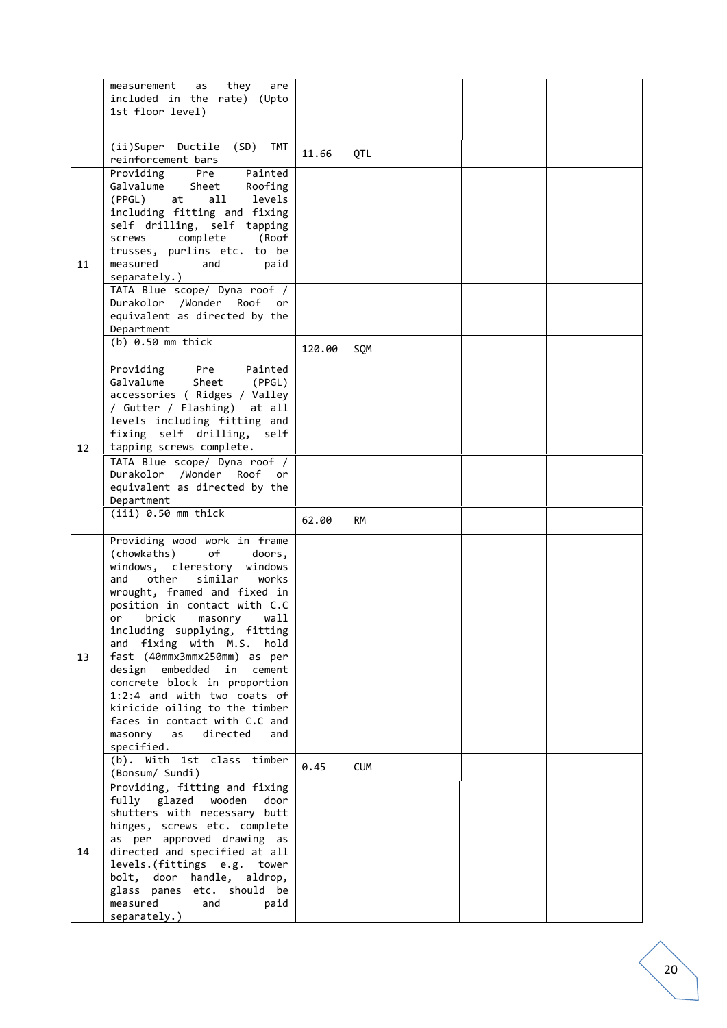|    | they<br>measurement<br>are<br>as                               |        |            |  |  |
|----|----------------------------------------------------------------|--------|------------|--|--|
|    | included in the rate) (Upto                                    |        |            |  |  |
|    | 1st floor level)                                               |        |            |  |  |
|    |                                                                |        |            |  |  |
|    |                                                                |        |            |  |  |
|    | (ii)Super Ductile (SD) TMT                                     | 11.66  | QTL        |  |  |
|    | reinforcement bars                                             |        |            |  |  |
|    | Providing<br>Pre<br>Painted                                    |        |            |  |  |
|    | Galvalume<br>Sheet<br>Roofing                                  |        |            |  |  |
|    | (PPGL)<br>at<br>all<br>levels                                  |        |            |  |  |
|    | including fitting and fixing<br>self drilling, self tapping    |        |            |  |  |
|    | complete<br>screws<br>(Roof                                    |        |            |  |  |
|    | trusses, purlins etc. to be                                    |        |            |  |  |
| 11 | measured<br>and<br>paid                                        |        |            |  |  |
|    | separately.)                                                   |        |            |  |  |
|    | TATA Blue scope/ Dyna roof /                                   |        |            |  |  |
|    | Durakolor /Wonder Roof or                                      |        |            |  |  |
|    | equivalent as directed by the                                  |        |            |  |  |
|    | Department                                                     |        |            |  |  |
|    | $(b)$ 0.50 mm thick                                            | 120.00 | SQM        |  |  |
|    |                                                                |        |            |  |  |
|    | Pre<br>Providing<br>Painted                                    |        |            |  |  |
|    | Galvalume<br>Sheet<br>(PPGL)                                   |        |            |  |  |
|    | accessories ( Ridges / Valley                                  |        |            |  |  |
|    | / Gutter / Flashing)<br>at all<br>levels including fitting and |        |            |  |  |
|    | fixing self drilling,<br>self                                  |        |            |  |  |
| 12 | tapping screws complete.                                       |        |            |  |  |
|    | TATA Blue scope/ Dyna roof /                                   |        |            |  |  |
|    | Durakolor /Wonder Roof<br>or                                   |        |            |  |  |
|    | equivalent as directed by the                                  |        |            |  |  |
|    | Department                                                     |        |            |  |  |
|    | $(iii)$ 0.50 mm thick                                          | 62.00  | <b>RM</b>  |  |  |
|    |                                                                |        |            |  |  |
|    | Providing wood work in frame                                   |        |            |  |  |
|    | (chowkaths)<br>of<br>doors,<br>windows, clerestory<br>windows  |        |            |  |  |
|    | and<br>other<br>similar<br>works                               |        |            |  |  |
|    | wrought, framed and fixed in                                   |        |            |  |  |
|    | position in contact with C.C                                   |        |            |  |  |
|    | brick<br>wall<br>masonry<br>or                                 |        |            |  |  |
|    | including supplying, fitting                                   |        |            |  |  |
|    | and fixing with M.S. hold                                      |        |            |  |  |
| 13 | fast (40mmx3mmx250mm) as per                                   |        |            |  |  |
|    | design embedded<br>in<br>cement                                |        |            |  |  |
|    | concrete block in proportion                                   |        |            |  |  |
|    | 1:2:4 and with two coats of                                    |        |            |  |  |
|    | kiricide oiling to the timber<br>faces in contact with C.C and |        |            |  |  |
|    | masonry<br>as<br>directed<br>and                               |        |            |  |  |
|    | specified.                                                     |        |            |  |  |
|    | (b). With 1st class timber                                     |        |            |  |  |
|    | (Bonsum/ Sundi)                                                | 0.45   | <b>CUM</b> |  |  |
|    | Providing, fitting and fixing                                  |        |            |  |  |
|    | fully glazed<br>wooden<br>door                                 |        |            |  |  |
|    | shutters with necessary butt                                   |        |            |  |  |
|    | hinges, screws etc. complete                                   |        |            |  |  |
|    | as per approved drawing as                                     |        |            |  |  |
| 14 | directed and specified at all                                  |        |            |  |  |
|    | levels.(fittings e.g. tower                                    |        |            |  |  |
|    | handle, aldrop,<br>bolt, door<br>glass panes etc. should be    |        |            |  |  |
|    | measured<br>and<br>paid                                        |        |            |  |  |
|    | separately.)                                                   |        |            |  |  |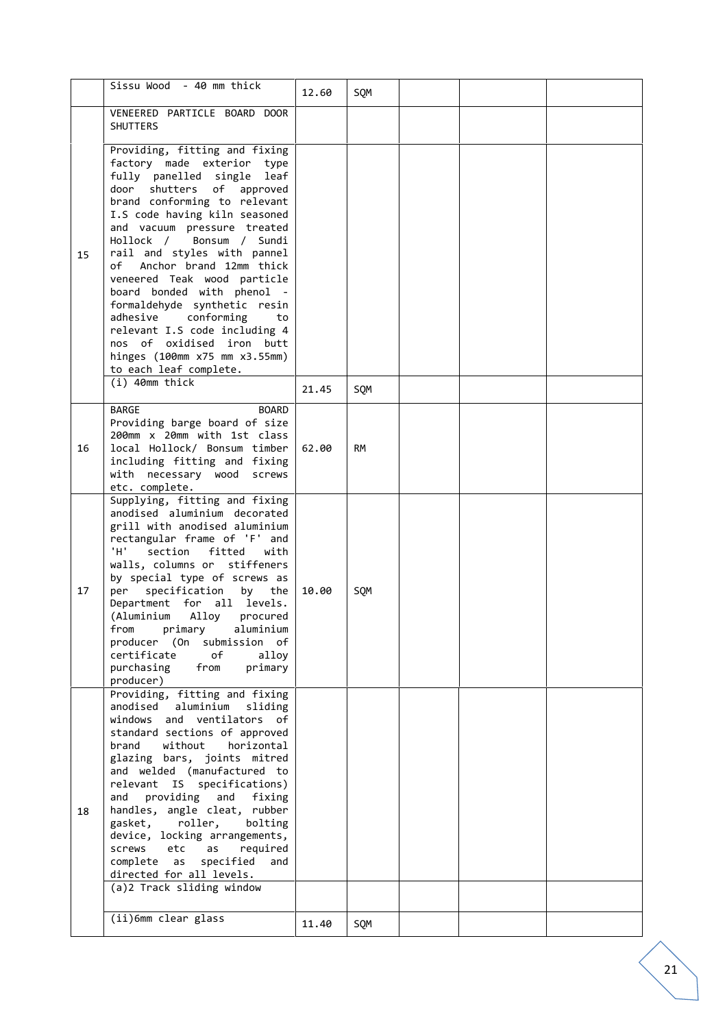|    | Sissu Wood - 40 mm thick                                                                                                                                                                                                                                                                                                                                                                                                                                                                                                                                                                     | 12.60 | SQM       |  |  |
|----|----------------------------------------------------------------------------------------------------------------------------------------------------------------------------------------------------------------------------------------------------------------------------------------------------------------------------------------------------------------------------------------------------------------------------------------------------------------------------------------------------------------------------------------------------------------------------------------------|-------|-----------|--|--|
|    | VENEERED PARTICLE BOARD DOOR<br><b>SHUTTERS</b>                                                                                                                                                                                                                                                                                                                                                                                                                                                                                                                                              |       |           |  |  |
| 15 | Providing, fitting and fixing<br>factory made exterior type<br>fully panelled single leaf<br>door<br>shutters of<br>approved<br>brand conforming to relevant<br>I.S code having kiln seasoned<br>and vacuum pressure treated<br>Hollock / Bonsum / Sundi<br>rail and styles with pannel<br>of Anchor brand 12mm thick<br>veneered Teak wood particle<br>board bonded with phenol -<br>formaldehyde synthetic resin<br>adhesive conforming<br>to<br>relevant I.S code including 4<br>nos of oxidised iron butt<br>hinges (100mm x75 mm x3.55mm)<br>to each leaf complete.<br>$(i)$ 40mm thick | 21.45 | SQM       |  |  |
| 16 | <b>BARGE</b><br><b>BOARD</b><br>Providing barge board of size<br>200mm x 20mm with 1st class<br>local Hollock/ Bonsum timber<br>including fitting and fixing<br>with necessary wood<br>screws<br>etc. complete.                                                                                                                                                                                                                                                                                                                                                                              | 62.00 | <b>RM</b> |  |  |
| 17 | Supplying, fitting and fixing<br>anodised aluminium decorated<br>grill with anodised aluminium<br>rectangular frame of 'F' and<br>'н'.<br>section<br>fitted<br>with<br>walls, columns or stiffeners<br>by special type of screws as<br>specification<br>per<br>by the<br>Department for all levels.<br>(Aluminium Alloy<br>procured<br>primary<br>from<br>aluminium<br>producer (On submission of<br>certificate<br>of<br>alloy<br>purchasing<br>primary<br>from<br>producer)                                                                                                                | 10.00 | SQM       |  |  |
| 18 | Providing, fitting and fixing<br>anodised<br>aluminium sliding<br>windows and ventilators of<br>standard sections of approved<br>brand<br>without<br>horizontal<br>glazing bars, joints mitred<br>and welded (manufactured to<br>relevant IS specifications)<br>providing<br>and<br>and<br>fixing<br>handles, angle cleat, rubber<br>gasket,<br>roller,<br>bolting<br>device, locking arrangements,<br>screws<br>etc<br>required<br>as<br>complete<br>specified<br>as<br>and<br>directed for all levels.<br>(a)2 Track sliding window                                                        |       |           |  |  |
|    | (ii)6mm clear glass                                                                                                                                                                                                                                                                                                                                                                                                                                                                                                                                                                          | 11.40 | SQM       |  |  |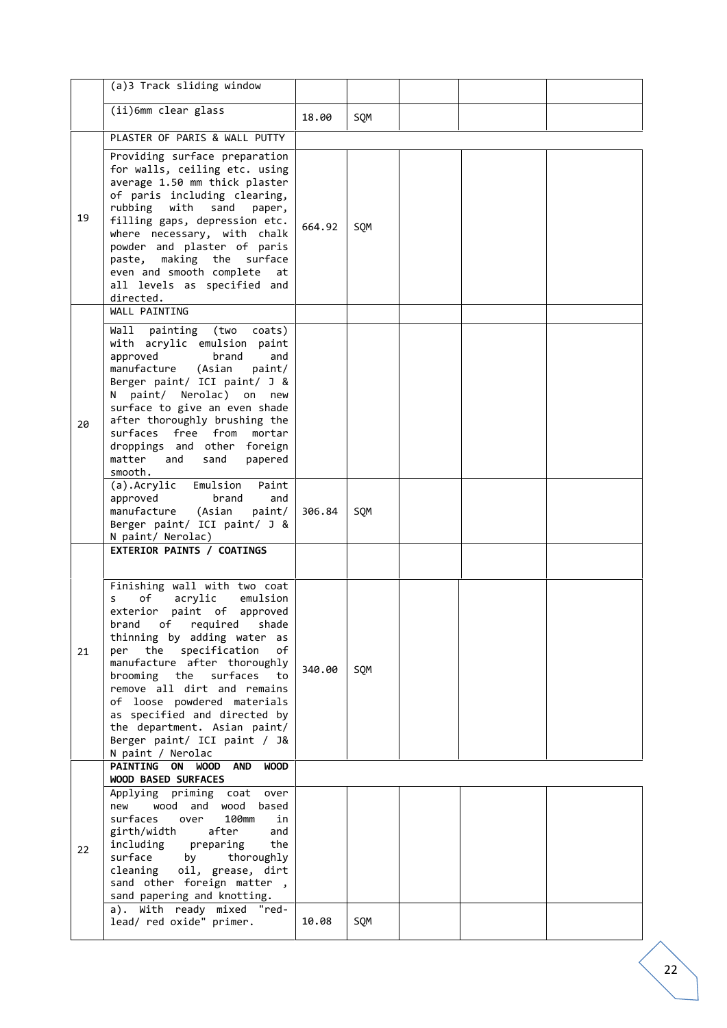|    | (a)3 Track sliding window                                                                                                                                                                                                                                                                                                                                                                                                                                                                                         |        |     |  |  |
|----|-------------------------------------------------------------------------------------------------------------------------------------------------------------------------------------------------------------------------------------------------------------------------------------------------------------------------------------------------------------------------------------------------------------------------------------------------------------------------------------------------------------------|--------|-----|--|--|
|    | (ii)6mm clear glass                                                                                                                                                                                                                                                                                                                                                                                                                                                                                               | 18.00  | SQM |  |  |
|    | PLASTER OF PARIS & WALL PUTTY                                                                                                                                                                                                                                                                                                                                                                                                                                                                                     |        |     |  |  |
| 19 | Providing surface preparation<br>for walls, ceiling etc. using<br>average 1.50 mm thick plaster<br>of paris including clearing,<br>rubbing with<br>sand<br>paper,<br>filling gaps, depression etc.<br>where necessary, with chalk<br>powder and plaster of paris<br>paste, making the surface<br>even and smooth complete<br>at<br>all levels as specified and<br>directed.                                                                                                                                       | 664.92 | SQM |  |  |
| 20 | WALL PAINTING<br>Wall painting (two<br>coats)<br>with acrylic emulsion paint<br>approved<br>brand<br>and<br>manufacture (Asian<br>paint/<br>Berger paint/ ICI paint/ J &<br>N paint/ Nerolac) on new<br>surface to give an even shade<br>after thoroughly brushing the<br>surfaces free from mortar<br>droppings and other foreign<br>matter<br>and<br>sand<br>papered<br>smooth.<br>(a).Acrylic Emulsion<br>Paint<br>approved<br>brand<br>and<br>manufacture<br>(Asian<br>paint/<br>Berger paint/ ICI paint/ J & | 306.84 | SQM |  |  |
|    | N paint/ Nerolac)<br>EXTERIOR PAINTS / COATINGS                                                                                                                                                                                                                                                                                                                                                                                                                                                                   |        |     |  |  |
| 21 | Finishing wall with two coat<br>of<br>acrylic<br>emulsion<br>s<br>exterior paint of approved<br>brand of required shade<br>thinning by adding water as<br>the specification<br>of<br>per<br>manufacture after thoroughly<br>brooming the<br>surfaces<br>to<br>remove all dirt and remains<br>of loose powdered materials<br>as specified and directed by<br>the department. Asian paint/<br>Berger paint/ ICI paint / J&<br>N paint / Nerolac                                                                     | 340.00 | SQM |  |  |
|    | <b>PAINTING ON</b><br>WOOD<br><b>AND</b><br><b>WOOD</b>                                                                                                                                                                                                                                                                                                                                                                                                                                                           |        |     |  |  |
| 22 | WOOD BASED SURFACES<br>Applying priming coat<br>over<br>wood and wood<br>based<br>new<br>surfaces<br>100mm<br>over<br>in<br>girth/width<br>after<br>and<br>including preparing<br>the<br>surface<br>by<br>thoroughly<br>cleaning oil, grease, dirt<br>sand other foreign matter,<br>sand papering and knotting.<br>a). With ready mixed "red-                                                                                                                                                                     |        |     |  |  |
|    | lead/ red oxide" primer.                                                                                                                                                                                                                                                                                                                                                                                                                                                                                          | 10.08  | SQM |  |  |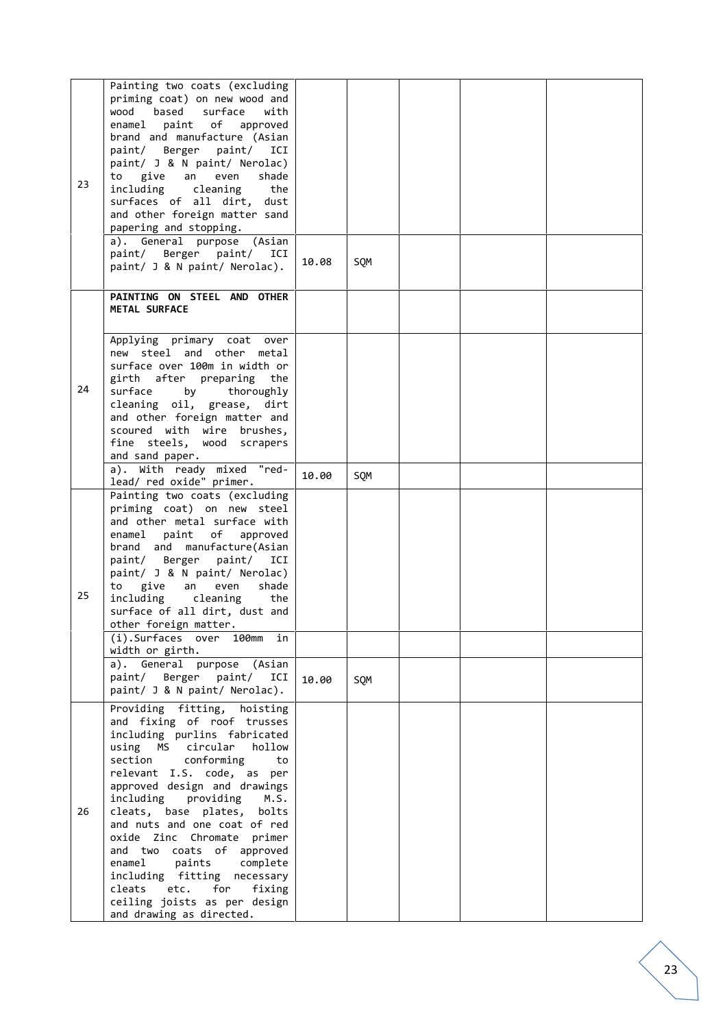| 23 | Painting two coats (excluding<br>priming coat) on new wood and<br>based<br>wood<br>surface<br>with<br>paint of approved<br>enamel<br>brand and manufacture (Asian<br>paint/ Berger paint/<br>ICI<br>paint/ J & N paint/ Nerolac)<br>give an<br>to<br>even<br>shade<br>including<br>cleaning<br>the<br>surfaces of all dirt, dust<br>and other foreign matter sand<br>papering and stopping.<br>a). General purpose (Asian<br>paint/ Berger paint/ ICI<br>paint/ J & N paint/ Nerolac).                                                      | 10.08          | SQM        |  |  |
|----|---------------------------------------------------------------------------------------------------------------------------------------------------------------------------------------------------------------------------------------------------------------------------------------------------------------------------------------------------------------------------------------------------------------------------------------------------------------------------------------------------------------------------------------------|----------------|------------|--|--|
|    | PAINTING ON STEEL AND OTHER<br>METAL SURFACE                                                                                                                                                                                                                                                                                                                                                                                                                                                                                                |                |            |  |  |
| 24 | Applying primary coat over<br>new steel and other metal<br>surface over 100m in width or<br>girth after preparing<br>the<br>surface<br>thoroughly<br>by<br>cleaning oil, grease, dirt<br>and other foreign matter and<br>scoured with wire brushes,<br>fine steels, wood scrapers<br>and sand paper.<br>a). With ready mixed "red-                                                                                                                                                                                                          |                |            |  |  |
| 25 | lead/ red oxide" primer.<br>Painting two coats (excluding<br>priming coat) on new steel<br>and other metal surface with<br>enamel paint of approved<br>brand and manufacture(Asian<br>paint/ Berger paint/<br>ICI<br>paint/ J & N paint/ Nerolac)<br>to give<br>shade<br>an<br>even<br>including<br>cleaning<br>the<br>surface of all dirt, dust and<br>other foreign matter.<br>(i).Surfaces over 100mm in<br>width or girth.<br>a). General purpose (Asian<br>paint/ Berger paint/ ICI<br>paint/ J & N paint/ Nerolac).                   | 10.00<br>10.00 | SQM<br>SQM |  |  |
| 26 | Providing fitting, hoisting<br>and fixing of roof trusses<br>including purlins fabricated<br>using MS circular<br>hollow<br>conforming<br>section<br>to<br>relevant I.S. code, as per<br>approved design and drawings<br>including<br>providing M.S.<br>cleats, base plates, bolts<br>and nuts and one coat of red<br>oxide Zinc Chromate<br>primer<br>and two coats of approved<br>enamel<br>paints complete<br>including fitting necessary<br>for<br>cleats<br>etc.<br>fixing<br>ceiling joists as per design<br>and drawing as directed. |                |            |  |  |